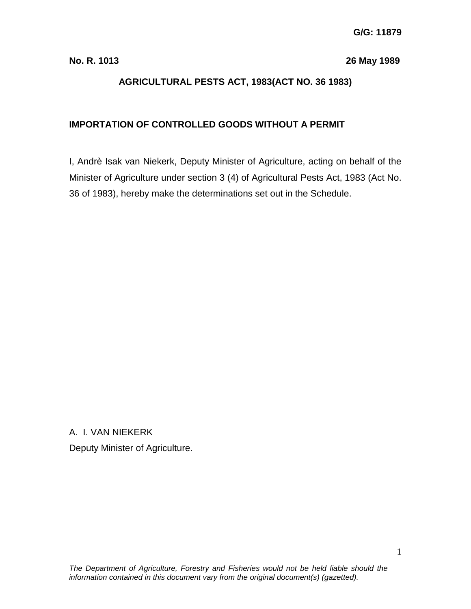**No. R. 1013 26 May 1989**

# **AGRICULTURAL PESTS ACT, 1983(ACT NO. 36 1983)**

## **IMPORTATION OF CONTROLLED GOODS WITHOUT A PERMIT**

I, Andrè Isak van Niekerk, Deputy Minister of Agriculture, acting on behalf of the Minister of Agriculture under section 3 (4) of Agricultural Pests Act, 1983 (Act No. 36 of 1983), hereby make the determinations set out in the Schedule.

A. I. VAN NIEKERK Deputy Minister of Agriculture.

1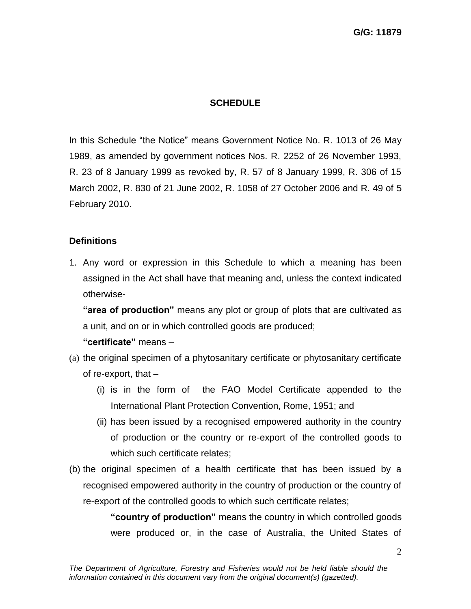#### **SCHEDULE**

In this Schedule "the Notice" means Government Notice No. R. 1013 of 26 May 1989, as amended by government notices Nos. R. 2252 of 26 November 1993, R. 23 of 8 January 1999 as revoked by, R. 57 of 8 January 1999, R. 306 of 15 March 2002, R. 830 of 21 June 2002, R. 1058 of 27 October 2006 and R. 49 of 5 February 2010.

#### **Definitions**

1. Any word or expression in this Schedule to which a meaning has been assigned in the Act shall have that meaning and, unless the context indicated otherwise-

**"area of production"** means any plot or group of plots that are cultivated as a unit, and on or in which controlled goods are produced;

**"certificate"** means –

- (a) the original specimen of a phytosanitary certificate or phytosanitary certificate of re-export, that –
	- (i) is in the form of the FAO Model Certificate appended to the International Plant Protection Convention, Rome, 1951; and
	- (ii) has been issued by a recognised empowered authority in the country of production or the country or re-export of the controlled goods to which such certificate relates;
- (b) the original specimen of a health certificate that has been issued by a recognised empowered authority in the country of production or the country of re-export of the controlled goods to which such certificate relates;

**"country of production"** means the country in which controlled goods were produced or, in the case of Australia, the United States of

2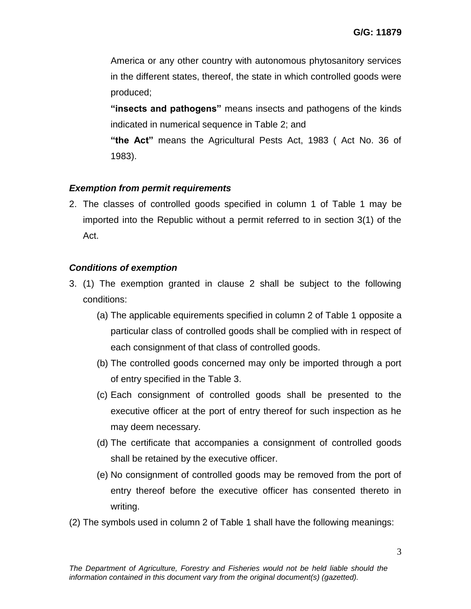America or any other country with autonomous phytosanitory services in the different states, thereof, the state in which controlled goods were produced;

**"insects and pathogens"** means insects and pathogens of the kinds indicated in numerical sequence in Table 2; and

**"the Act"** means the Agricultural Pests Act, 1983 ( Act No. 36 of 1983).

### *Exemption from permit requirements*

2. The classes of controlled goods specified in column 1 of Table 1 may be imported into the Republic without a permit referred to in section 3(1) of the Act.

### *Conditions of exemption*

- 3. (1) The exemption granted in clause 2 shall be subject to the following conditions:
	- (a) The applicable equirements specified in column 2 of Table 1 opposite a particular class of controlled goods shall be complied with in respect of each consignment of that class of controlled goods.
	- (b) The controlled goods concerned may only be imported through a port of entry specified in the Table 3.
	- (c) Each consignment of controlled goods shall be presented to the executive officer at the port of entry thereof for such inspection as he may deem necessary.
	- (d) The certificate that accompanies a consignment of controlled goods shall be retained by the executive officer.
	- (e) No consignment of controlled goods may be removed from the port of entry thereof before the executive officer has consented thereto in writing.
- (2) The symbols used in column 2 of Table 1 shall have the following meanings: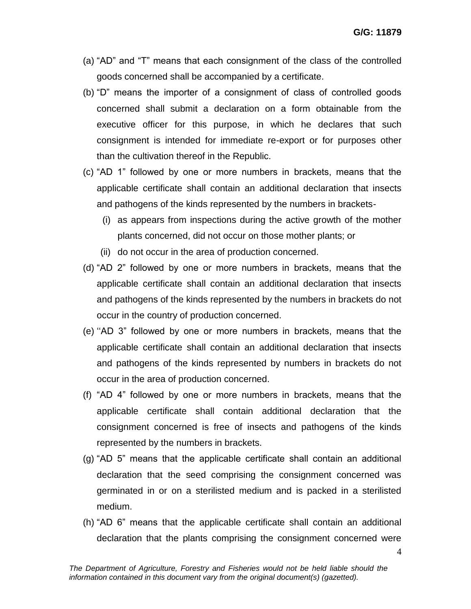- (a) "AD" and "T" means that each consignment of the class of the controlled goods concerned shall be accompanied by a certificate.
- (b) "D" means the importer of a consignment of class of controlled goods concerned shall submit a declaration on a form obtainable from the executive officer for this purpose, in which he declares that such consignment is intended for immediate re-export or for purposes other than the cultivation thereof in the Republic.
- (c) "AD 1" followed by one or more numbers in brackets, means that the applicable certificate shall contain an additional declaration that insects and pathogens of the kinds represented by the numbers in brackets-
	- (i) as appears from inspections during the active growth of the mother plants concerned, did not occur on those mother plants; or
	- (ii) do not occur in the area of production concerned.
- (d) "AD 2" followed by one or more numbers in brackets, means that the applicable certificate shall contain an additional declaration that insects and pathogens of the kinds represented by the numbers in brackets do not occur in the country of production concerned.
- (e) ""AD 3" followed by one or more numbers in brackets, means that the applicable certificate shall contain an additional declaration that insects and pathogens of the kinds represented by numbers in brackets do not occur in the area of production concerned.
- (f) "AD 4" followed by one or more numbers in brackets, means that the applicable certificate shall contain additional declaration that the consignment concerned is free of insects and pathogens of the kinds represented by the numbers in brackets.
- (g) "AD 5" means that the applicable certificate shall contain an additional declaration that the seed comprising the consignment concerned was germinated in or on a sterilisted medium and is packed in a sterilisted medium.
- (h) "AD 6" means that the applicable certificate shall contain an additional declaration that the plants comprising the consignment concerned were

4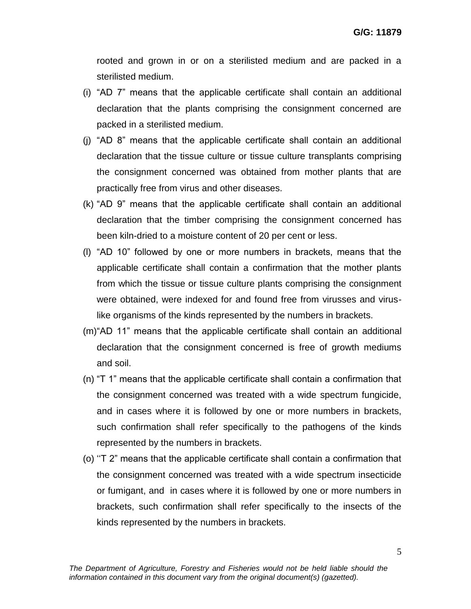rooted and grown in or on a sterilisted medium and are packed in a sterilisted medium.

- (i) "AD 7" means that the applicable certificate shall contain an additional declaration that the plants comprising the consignment concerned are packed in a sterilisted medium.
- (j) "AD 8" means that the applicable certificate shall contain an additional declaration that the tissue culture or tissue culture transplants comprising the consignment concerned was obtained from mother plants that are practically free from virus and other diseases.
- (k) "AD 9" means that the applicable certificate shall contain an additional declaration that the timber comprising the consignment concerned has been kiln-dried to a moisture content of 20 per cent or less.
- (l) "AD 10" followed by one or more numbers in brackets, means that the applicable certificate shall contain a confirmation that the mother plants from which the tissue or tissue culture plants comprising the consignment were obtained, were indexed for and found free from virusses and viruslike organisms of the kinds represented by the numbers in brackets.
- (m)"AD 11" means that the applicable certificate shall contain an additional declaration that the consignment concerned is free of growth mediums and soil.
- (n) "T 1" means that the applicable certificate shall contain a confirmation that the consignment concerned was treated with a wide spectrum fungicide, and in cases where it is followed by one or more numbers in brackets, such confirmation shall refer specifically to the pathogens of the kinds represented by the numbers in brackets.
- (o) ""T 2" means that the applicable certificate shall contain a confirmation that the consignment concerned was treated with a wide spectrum insecticide or fumigant, and in cases where it is followed by one or more numbers in brackets, such confirmation shall refer specifically to the insects of the kinds represented by the numbers in brackets.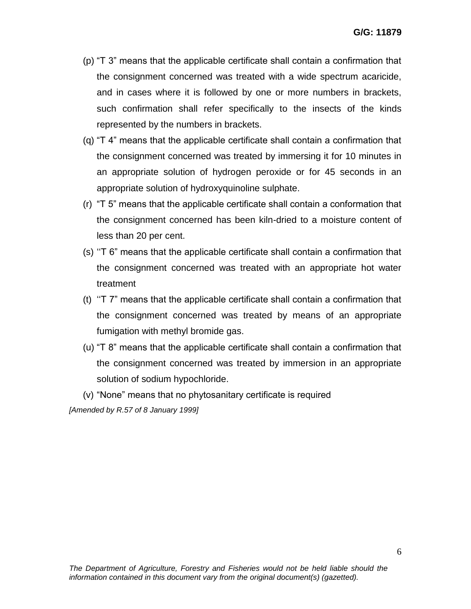- (p) "T 3" means that the applicable certificate shall contain a confirmation that the consignment concerned was treated with a wide spectrum acaricide, and in cases where it is followed by one or more numbers in brackets, such confirmation shall refer specifically to the insects of the kinds represented by the numbers in brackets.
- (q) "T 4" means that the applicable certificate shall contain a confirmation that the consignment concerned was treated by immersing it for 10 minutes in an appropriate solution of hydrogen peroxide or for 45 seconds in an appropriate solution of hydroxyquinoline sulphate.
- (r) "T 5" means that the applicable certificate shall contain a conformation that the consignment concerned has been kiln-dried to a moisture content of less than 20 per cent.
- (s) ""T 6" means that the applicable certificate shall contain a confirmation that the consignment concerned was treated with an appropriate hot water treatment
- (t) ""T 7" means that the applicable certificate shall contain a confirmation that the consignment concerned was treated by means of an appropriate fumigation with methyl bromide gas.
- (u) "T 8" means that the applicable certificate shall contain a confirmation that the consignment concerned was treated by immersion in an appropriate solution of sodium hypochloride.

(v) "None" means that no phytosanitary certificate is required *[Amended by R.57 of 8 January 1999]*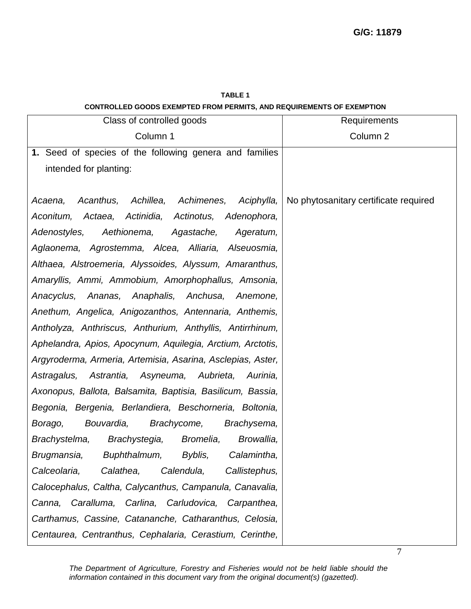| Class of controlled goods                                     | Requirements                          |
|---------------------------------------------------------------|---------------------------------------|
| Column 1                                                      | Column 2                              |
| 1. Seed of species of the following genera and families       |                                       |
| intended for planting:                                        |                                       |
|                                                               |                                       |
| Acanthus,<br>Achillea,<br>Achimenes,<br>Aciphylla,<br>Acaena, | No phytosanitary certificate required |
| Actaea, Actinidia, Actinotus,<br>Aconitum,<br>Adenophora,     |                                       |
| Adenostyles,<br>Aethionema,<br>Agastache,<br>Ageratum,        |                                       |
| Aglaonema, Agrostemma, Alcea, Alliaria, Alseuosmia,           |                                       |
| Althaea, Alstroemeria, Alyssoides, Alyssum, Amaranthus,       |                                       |
| Amaryllis, Ammi, Ammobium, Amorphophallus, Amsonia,           |                                       |
| Anacyclus, Ananas, Anaphalis, Anchusa,<br>Anemone,            |                                       |
| Anethum, Angelica, Anigozanthos, Antennaria, Anthemis,        |                                       |
| Antholyza, Anthriscus, Anthurium, Anthyllis, Antirrhinum,     |                                       |
| Aphelandra, Apios, Apocynum, Aquilegia, Arctium, Arctotis,    |                                       |
| Argyroderma, Armeria, Artemisia, Asarina, Asclepias, Aster,   |                                       |
| Astrantia, Asyneuma, Aubrieta,<br>Astragalus,<br>Aurinia,     |                                       |
| Axonopus, Ballota, Balsamita, Baptisia, Basilicum, Bassia,    |                                       |
| Begonia, Bergenia, Berlandiera, Beschorneria, Boltonia,       |                                       |
| Bouvardia,<br>Brachycome,<br>Borago,<br>Brachysema,           |                                       |
| Brachystegia,<br>Bromelia,<br>Browallia,<br>Brachystelma,     |                                       |
| Buphthalmum,<br>Calamintha,<br>Brugmansia,<br>Byblis,         |                                       |
| Calendula,<br>Calceolaria,<br>Calathea,<br>Callistephus,      |                                       |
| Calocephalus, Caltha, Calycanthus, Campanula, Canavalia,      |                                       |
| Canna, Caralluma, Carlina, Carludovica, Carpanthea,           |                                       |
| Carthamus, Cassine, Catananche, Catharanthus, Celosia,        |                                       |
| Centaurea, Centranthus, Cephalaria, Cerastium, Cerinthe,      |                                       |

**TABLE 1 CONTROLLED GOODS EXEMPTED FROM PERMITS, AND REQUIREMENTS OF EXEMPTION**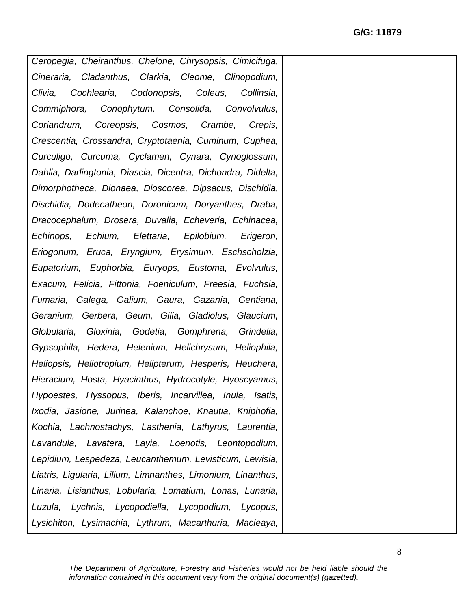*Ceropegia, Cheiranthus, Chelone, Chrysopsis, Cimicifuga, Cineraria, Cladanthus, Clarkia, Cleome, Clinopodium, Clivia, Cochlearia, Codonopsis, Coleus, Collinsia, Commiphora, Conophytum, Consolida, Convolvulus, Coriandrum, Coreopsis, Cosmos, Crambe, Crepis, Crescentia, Crossandra, Cryptotaenia, Cuminum, Cuphea, Curculigo, Curcuma, Cyclamen, Cynara, Cynoglossum, Dahlia, Darlingtonia, Diascia, Dicentra, Dichondra, Didelta, Dimorphotheca, Dionaea, Dioscorea, Dipsacus, Dischidia, Dischidia, Dodecatheon, Doronicum, Doryanthes, Draba, Dracocephalum, Drosera, Duvalia, Echeveria, Echinacea, Echinops, Echium, Elettaria, Epilobium, Erigeron, Eriogonum, Eruca, Eryngium, Erysimum, Eschscholzia, Eupatorium, Euphorbia, Euryops, Eustoma, Evolvulus, Exacum, Felicia, Fittonia, Foeniculum, Freesia, Fuchsia, Fumaria, Galega, Galium, Gaura, Gazania, Gentiana, Geranium, Gerbera, Geum, Gilia, Gladiolus, Glaucium, Globularia, Gloxinia, Godetia, Gomphrena, Grindelia, Gypsophila, Hedera, Helenium, Helichrysum, Heliophila, Heliopsis, Heliotropium, Helipterum, Hesperis, Heuchera, Hieracium, Hosta, Hyacinthus, Hydrocotyle, Hyoscyamus, Hypoestes, Hyssopus, Iberis, Incarvillea, Inula, Isatis, Ixodia, Jasione, Jurinea, Kalanchoe, Knautia, Kniphofia, Kochia, Lachnostachys, Lasthenia, Lathyrus, Laurentia, Lavandula, Lavatera, Layia, Loenotis, Leontopodium, Lepidium, Lespedeza, Leucanthemum, Levisticum, Lewisia, Liatris, Ligularia, Lilium, Limnanthes, Limonium, Linanthus, Linaria, Lisianthus, Lobularia, Lomatium, Lonas, Lunaria, Luzula, Lychnis, Lycopodiella, Lycopodium, Lycopus, Lysichiton, Lysimachia, Lythrum, Macarthuria, Macleaya,*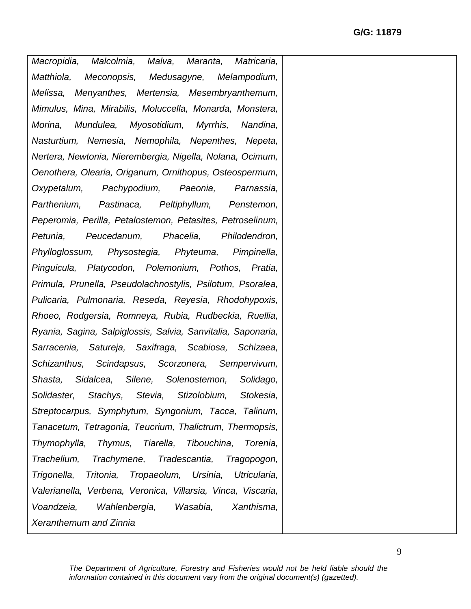*Macropidia, Malcolmia, Malva, Maranta, Matricaria, Matthiola, Meconopsis, Medusagyne, Melampodium, Melissa, Menyanthes, Mertensia, Mesembryanthemum, Mimulus, Mina, Mirabilis, Moluccella, Monarda, Monstera, Morina, Mundulea, Myosotidium, Myrrhis, Nandina, Nasturtium, Nemesia, Nemophila, Nepenthes, Nepeta, Nertera, Newtonia, Nierembergia, Nigella, Nolana, Ocimum, Oenothera, Olearia, Origanum, Ornithopus, Osteospermum, Oxypetalum, Pachypodium, Paeonia, Parnassia, Parthenium, Pastinaca, Peltiphyllum, Penstemon, Peperomia, Perilla, Petalostemon, Petasites, Petroselinum, Petunia, Peucedanum, Phacelia, Philodendron, Phylloglossum, Physostegia, Phyteuma, Pimpinella, Pinguicula, Platycodon, Polemonium, Pothos, Pratia, Primula, Prunella, Pseudolachnostylis, Psilotum, Psoralea, Pulicaria, Pulmonaria, Reseda, Reyesia, Rhodohypoxis, Rhoeo, Rodgersia, Romneya, Rubia, Rudbeckia, Ruellia, Ryania, Sagina, Salpiglossis, Salvia, Sanvitalia, Saponaria, Sarracenia, Satureja, Saxifraga, Scabiosa, Schizaea, Schizanthus, Scindapsus, Scorzonera, Sempervivum, Shasta, Sidalcea, Silene, Solenostemon, Solidago, Solidaster, Stachys, Stevia, Stizolobium, Stokesia, Streptocarpus, Symphytum, Syngonium, Tacca, Talinum, Tanacetum, Tetragonia, Teucrium, Thalictrum, Thermopsis, Thymophylla, Thymus, Tiarella, Tibouchina, Torenia, Trachelium, Trachymene, Tradescantia, Tragopogon, Trigonella, Tritonia, Tropaeolum, Ursinia, Utricularia, Valerianella, Verbena, Veronica, Villarsia, Vinca, Viscaria, Voandzeia, Wahlenbergia, Wasabia, Xanthisma, Xeranthemum and Zinnia*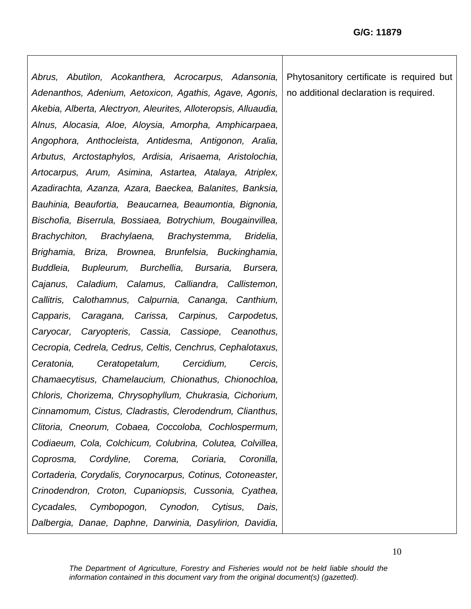*Abrus, Abutilon, Acokanthera, Acrocarpus, Adansonia, Adenanthos, Adenium, Aetoxicon, Agathis, Agave, Agonis, Akebia, Alberta, Alectryon, Aleurites, Alloteropsis, Alluaudia, Alnus, Alocasia, Aloe, Aloysia, Amorpha, Amphicarpaea, Angophora, Anthocleista, Antidesma, Antigonon, Aralia, Arbutus, Arctostaphylos, Ardisia, Arisaema, Aristolochia, Artocarpus, Arum, Asimina, Astartea, Atalaya, Atriplex, Azadirachta, Azanza, Azara, Baeckea, Balanites, Banksia, Bauhinia, Beaufortia, Beaucarnea, Beaumontia, Bignonia, Bischofia, Biserrula, Bossiaea, Botrychium, Bougainvillea, Brachychiton, Brachylaena, Brachystemma, Bridelia, Brighamia, Briza, Brownea, Brunfelsia, Buckinghamia, Buddleia, Bupleurum, Burchellia, Bursaria, Bursera, Cajanus, Caladium, Calamus, Calliandra, Callistemon, Callitris, Calothamnus, Calpurnia, Cananga, Canthium, Capparis, Caragana, Carissa, Carpinus, Carpodetus, Caryocar, Caryopteris, Cassia, Cassiope, Ceanothus, Cecropia, Cedrela, Cedrus, Celtis, Cenchrus, Cephalotaxus, Ceratonia, Ceratopetalum, Cercidium, Cercis, Chamaecytisus, Chamelaucium, Chionathus, Chionochloa, Chloris, Chorizema, Chrysophyllum, Chukrasia, Cichorium, Cinnamomum, Cistus, Cladrastis, Clerodendrum, Clianthus, Clitoria, Cneorum, Cobaea, Coccoloba, Cochlospermum, Codiaeum, Cola, Colchicum, Colubrina, Colutea, Colvillea, Coprosma, Cordyline, Corema, Coriaria, Coronilla, Cortaderia, Corydalis, Corynocarpus, Cotinus, Cotoneaster, Crinodendron, Croton, Cupaniopsis, Cussonia, Cyathea, Cycadales, Cymbopogon, Cynodon, Cytisus, Dais, Dalbergia, Danae, Daphne, Darwinia, Dasylirion, Davidia,*  Phytosanitory certificate is required but no additional declaration is required.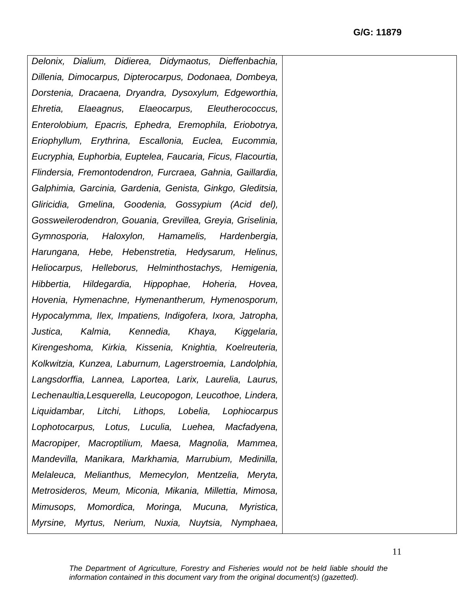*Delonix, Dialium, Didierea, Didymaotus, Dieffenbachia, Dillenia, Dimocarpus, Dipterocarpus, Dodonaea, Dombeya, Dorstenia, Dracaena, Dryandra, Dysoxylum, Edgeworthia, Ehretia, Elaeagnus, Elaeocarpus, Eleutherococcus, Enterolobium, Epacris, Ephedra, Eremophila, Eriobotrya, Eriophyllum, Erythrina, Escallonia, Euclea, Eucommia, Eucryphia, Euphorbia, Euptelea, Faucaria, Ficus, Flacourtia, Flindersia, Fremontodendron, Furcraea, Gahnia, Gaillardia, Galphimia, Garcinia, Gardenia, Genista, Ginkgo, Gleditsia, Gliricidia, Gmelina, Goodenia, Gossypium (Acid del), Gossweilerodendron, Gouania, Grevillea, Greyia, Griselinia, Gymnosporia, Haloxylon, Hamamelis, Hardenbergia, Harungana, Hebe, Hebenstretia, Hedysarum, Helinus, Heliocarpus, Helleborus, Helminthostachys, Hemigenia, Hibbertia, Hildegardia, Hippophae, Hoheria, Hovea, Hovenia, Hymenachne, Hymenantherum, Hymenosporum, Hypocalymma, Ilex, Impatiens, Indigofera, Ixora, Jatropha, Justica, Kalmia, Kennedia, Khaya, Kiggelaria, Kirengeshoma, Kirkia, Kissenia, Knightia, Koelreuteria, Kolkwitzia, Kunzea, Laburnum, Lagerstroemia, Landolphia, Langsdorffia, Lannea, Laportea, Larix, Laurelia, Laurus, Lechenaultia,Lesquerella, Leucopogon, Leucothoe, Lindera, Liquidambar, Litchi, Lithops, Lobelia, Lophiocarpus Lophotocarpus, Lotus, Luculia, Luehea, Macfadyena, Macropiper, Macroptilium, Maesa, Magnolia, Mammea, Mandevilla, Manikara, Markhamia, Marrubium, Medinilla, Melaleuca, Melianthus, Memecylon, Mentzelia, Meryta, Metrosideros, Meum, Miconia, Mikania, Millettia, Mimosa, Mimusops, Momordica, Moringa, Mucuna, Myristica, Myrsine, Myrtus, Nerium, Nuxia, Nuytsia, Nymphaea,*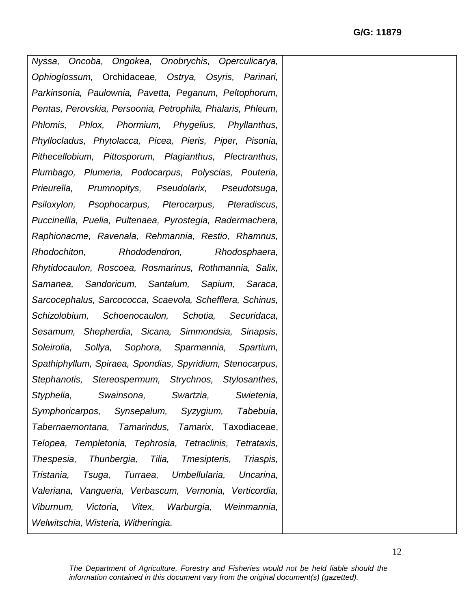*Nyssa, Oncoba, Ongokea, Onobrychis, Operculicarya, Ophioglossum,* Orchidaceae*, Ostrya, Osyris, Parinari, Parkinsonia, Paulownia, Pavetta, Peganum, Peltophorum, Pentas, Perovskia, Persoonia, Petrophila, Phalaris, Phleum, Phlomis, Phlox, Phormium, Phygelius, Phyllanthus, Phyllocladus, Phytolacca, Picea, Pieris, Piper, Pisonia, Pithecellobium, Pittosporum, Plagianthus, Plectranthus, Plumbago, Plumeria, Podocarpus, Polyscias, Pouteria, Prieurella, Prumnopitys, Pseudolarix, Pseudotsuga, Psiloxylon, Psophocarpus, Pterocarpus, Pteradiscus, Puccinellia, Puelia, Pultenaea, Pyrostegia, Radermachera, Raphionacme, Ravenala, Rehmannia, Restio, Rhamnus, Rhodochiton, Rhododendron, Rhodosphaera, Rhytidocaulon, Roscoea, Rosmarinus, Rothmannia, Salix, Samanea, Sandoricum, Santalum, Sapium, Saraca, Sarcocephalus, Sarcococca, Scaevola, Schefflera, Schinus, Schizolobium, Schoenocaulon, Schotia, Securidaca, Sesamum, Shepherdia, Sicana, Simmondsia, Sinapsis, Soleirolia, Sollya, Sophora, Sparmannia, Spartium, Spathiphyllum, Spiraea, Spondias, Spyridium, Stenocarpus, Stephanotis, Stereospermum, Strychnos, Stylosanthes, Styphelia, Swainsona, Swartzia, Swietenia, Symphoricarpos, Synsepalum, Syzygium, Tabebuia, Tabernaemontana, Tamarindus, Tamarix,* Taxodiaceae, *Telopea, Templetonia, Tephrosia, Tetraclinis, Tetrataxis, Thespesia, Thunbergia, Tilia, Tmesipteris, Triaspis, Tristania, Tsuga, Turraea, Umbellularia, Uncarina, Valeriana, Vangueria, Verbascum, Vernonia, Verticordia, Viburnum, Victoria, Vitex, Warburgia, Weinmannia, Welwitschia, Wisteria, Witheringia.*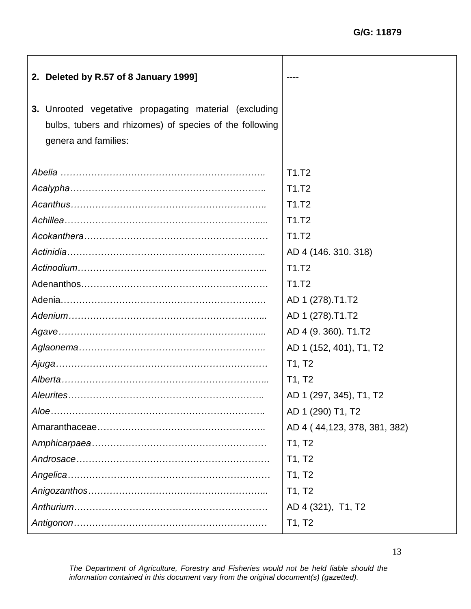| 2. Deleted by R.57 of 8 January 1999]                   |                                |
|---------------------------------------------------------|--------------------------------|
| 3. Unrooted vegetative propagating material (excluding  |                                |
| bulbs, tubers and rhizomes) of species of the following |                                |
| genera and families:                                    |                                |
|                                                         |                                |
|                                                         | T <sub>1</sub> .T <sub>2</sub> |
|                                                         | T1.T2                          |
|                                                         | T1.T2                          |
|                                                         | T1.T2                          |
|                                                         | T1.T2                          |
|                                                         | AD 4 (146. 310. 318)           |
|                                                         | T1.T2                          |
|                                                         | T <sub>1</sub> .T <sub>2</sub> |
|                                                         | AD 1 (278).T1.T2               |
|                                                         | AD 1 (278).T1.T2               |
|                                                         | AD 4 (9. 360). T1.T2           |
|                                                         | AD 1 (152, 401), T1, T2        |
|                                                         | T1, T2                         |
|                                                         | T1, T2                         |
|                                                         | AD 1 (297, 345), T1, T2        |
|                                                         | AD 1 (290) T1, T2              |
|                                                         | AD 4 (44,123, 378, 381, 382)   |
|                                                         | T1, T2                         |
|                                                         | T1, T2                         |
|                                                         | T1, T2                         |
|                                                         | T1, T2                         |
|                                                         | AD 4 (321), T1, T2             |
|                                                         | T1, T2                         |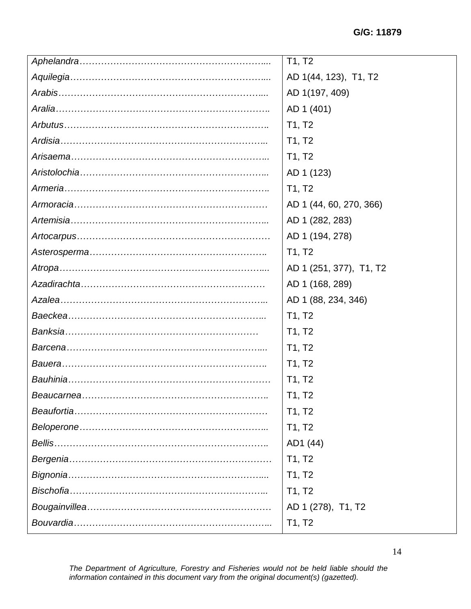| T1, T2                  |
|-------------------------|
| AD 1(44, 123), T1, T2   |
| AD 1(197, 409)          |
| AD 1 (401)              |
| T1, T2                  |
| T1, T2                  |
| T1, T2                  |
| AD 1 (123)              |
| T1, T2                  |
| AD 1 (44, 60, 270, 366) |
| AD 1 (282, 283)         |
| AD 1 (194, 278)         |
| T1, T2                  |
| AD 1 (251, 377), T1, T2 |
| AD 1 (168, 289)         |
| AD 1 (88, 234, 346)     |
| T1, T2                  |
| T1, T2                  |
| T1, T2                  |
| T1, T2                  |
| T1, T2                  |
| T1, T2                  |
| T1, T2                  |
| T1, T2                  |
| AD1 (44)                |
| T1, T2                  |
| T1, T2                  |
| T1, T2                  |
| AD 1 (278), T1, T2      |
| T1, T2                  |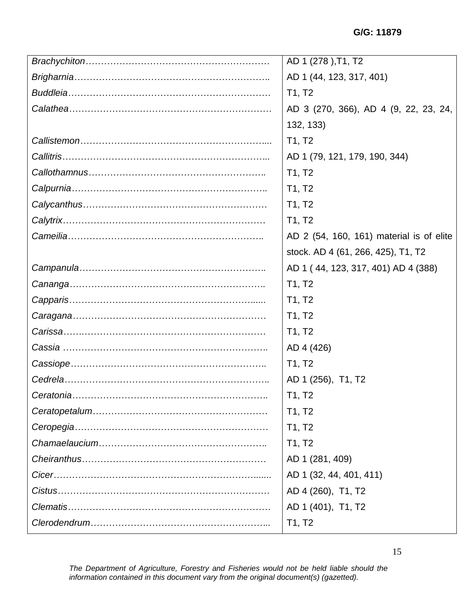|            | AD 1 (278), T1, T2                       |
|------------|------------------------------------------|
|            | AD 1 (44, 123, 317, 401)                 |
|            | T1, T2                                   |
|            | AD 3 (270, 366), AD 4 (9, 22, 23, 24,    |
|            | 132, 133)                                |
|            | T1, T2                                   |
|            | AD 1 (79, 121, 179, 190, 344)            |
|            | T1, T2                                   |
|            | T1, T2                                   |
|            | T1, T2                                   |
|            | T1, T2                                   |
|            | AD 2 (54, 160, 161) material is of elite |
|            | stock. AD 4 (61, 266, 425), T1, T2       |
|            | AD 1 (44, 123, 317, 401) AD 4 (388)      |
|            | T1, T2                                   |
|            | T1, T2                                   |
|            | T1, T2                                   |
|            | T1, T2                                   |
|            | AD 4 (426)                               |
|            | T1, T2                                   |
|            | AD 1 (256), T1, T2                       |
| Ceratonia. | T1, T2                                   |
|            | T1, T2                                   |
|            | T1, T2                                   |
|            | T1, T2                                   |
|            | AD 1 (281, 409)                          |
|            | AD 1 (32, 44, 401, 411)                  |
|            | AD 4 (260), T1, T2                       |
|            | AD 1 (401), T1, T2                       |
|            | T1, T2                                   |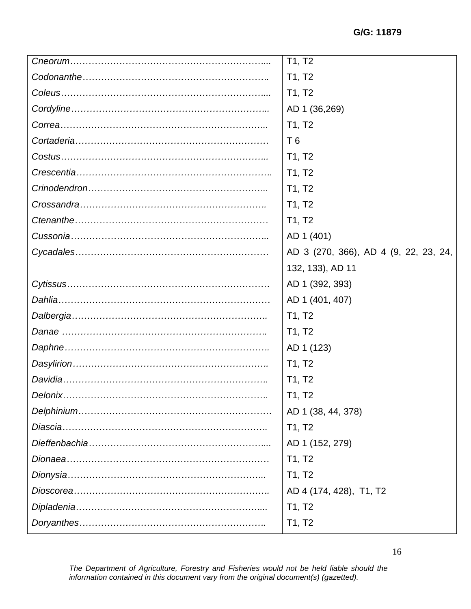| T1, T2                                |
|---------------------------------------|
| T1, T2                                |
| T1, T2                                |
| AD 1 (36,269)                         |
| T1, T2                                |
| T <sub>6</sub>                        |
| T1, T2                                |
| T1, T2                                |
| T1, T2                                |
| T1, T2                                |
| T1, T2                                |
| AD 1 (401)                            |
| AD 3 (270, 366), AD 4 (9, 22, 23, 24, |
| 132, 133), AD 11                      |
| AD 1 (392, 393)                       |
| AD 1 (401, 407)                       |
| T1, T2                                |
| T1, T2                                |
| AD 1 (123)                            |
| T1, T2                                |
| T1, T2                                |
| T1, T2                                |
| AD 1 (38, 44, 378)                    |
| T1, T2                                |
| AD 1 (152, 279)                       |
| T1, T2                                |
| T1, T2                                |
| AD 4 (174, 428), T1, T2               |
| T1, T2                                |
| T1, T2                                |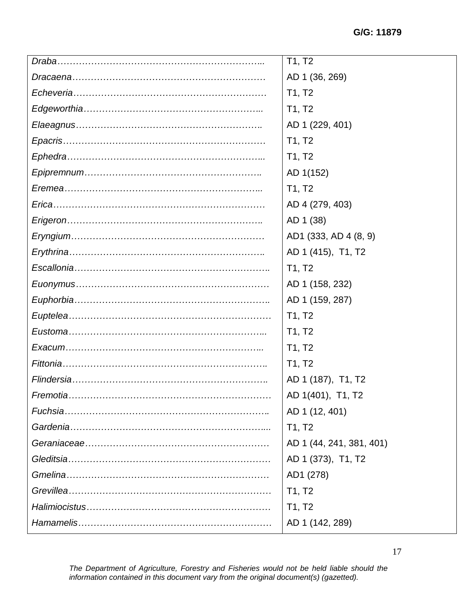|          | T1, T2                   |
|----------|--------------------------|
|          | AD 1 (36, 269)           |
|          | T1, T2                   |
|          | T1, T2                   |
|          | AD 1 (229, 401)          |
|          | T1, T2                   |
|          | T1, T2                   |
|          | AD 1(152)                |
|          | T1, T2                   |
|          | AD 4 (279, 403)          |
|          | AD 1 (38)                |
|          | AD1 (333, AD 4 (8, 9)    |
|          | AD 1 (415), T1, T2       |
|          | T1, T2                   |
|          | AD 1 (158, 232)          |
|          | AD 1 (159, 287)          |
|          | T1, T2                   |
|          | T1, T2                   |
|          | T1, T2                   |
|          | T1, T2                   |
|          | AD 1 (187), T1, T2       |
|          | AD 1(401), T1, T2        |
| Fuchsia. | AD 1 (12, 401)           |
|          | T1, T2                   |
|          | AD 1 (44, 241, 381, 401) |
|          | AD 1 (373), T1, T2       |
|          | AD1 (278)                |
|          | T1, T2                   |
|          | T1, T2                   |
|          | AD 1 (142, 289)          |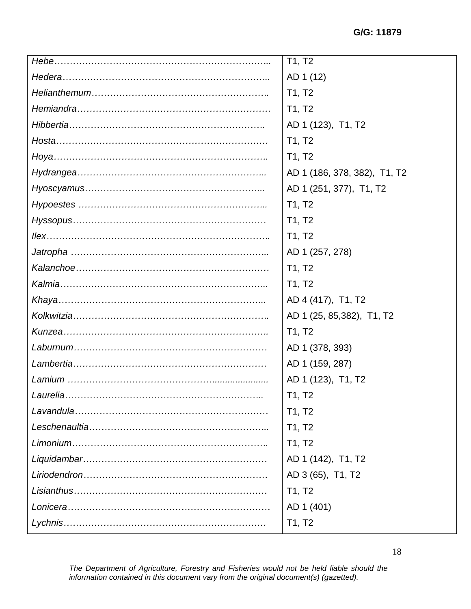| T1, T2                       |
|------------------------------|
| AD 1 (12)                    |
| T1, T2                       |
| T1, T2                       |
| AD 1 (123), T1, T2           |
| T1, T2                       |
| T1, T2                       |
| AD 1 (186, 378, 382), T1, T2 |
| AD 1 (251, 377), T1, T2      |
| T1, T2                       |
| T1, T2                       |
| T1, T2                       |
| AD 1 (257, 278)              |
| T1, T2                       |
| T1, T2                       |
| AD 4 (417), T1, T2           |
| AD 1 (25, 85, 382), T1, T2   |
| T1, T2                       |
|                              |
| AD 1 (378, 393)              |
| AD 1 (159, 287)              |
| AD 1 (123), T1, T2           |
| T1, T2                       |
| T1, T2                       |
| T1, T2                       |
| T1, T2                       |
| AD 1 (142), T1, T2           |
| AD 3 (65), T1, T2            |
| T1, T2                       |
| AD 1 (401)                   |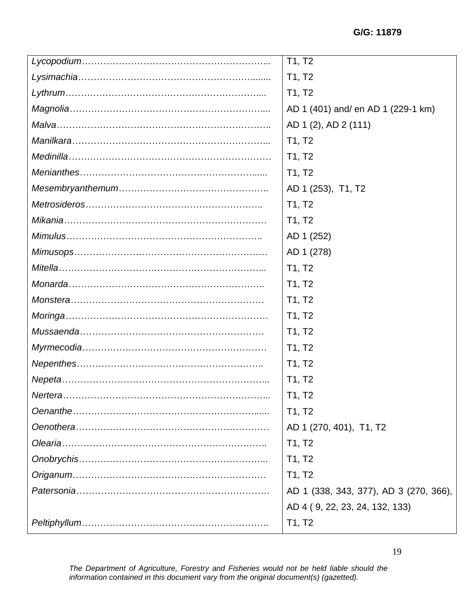| $\overline{1}1, T2$                    |
|----------------------------------------|
| T1, T2                                 |
| T1, T2                                 |
| AD 1 (401) and/ en AD 1 (229-1 km)     |
| AD 1 (2), AD 2 (111)                   |
| T1, T2                                 |
| T1, T2                                 |
| T1, T2                                 |
| AD 1 (253), T1, T2                     |
| T1, T2                                 |
| T1, T2                                 |
| AD 1 (252)                             |
| AD 1 (278)                             |
| T1, T2                                 |
| T1, T2                                 |
| T1, T2                                 |
| T1, T2                                 |
| T1, T2                                 |
| T1, T2                                 |
| T1, T2                                 |
| T1, T2                                 |
| T1, T2                                 |
| T1, T2                                 |
| AD 1 (270, 401), T1, T2                |
| T1, T2                                 |
| T1, T2                                 |
| T1, T2                                 |
| AD 1 (338, 343, 377), AD 3 (270, 366), |
| AD 4 (9, 22, 23, 24, 132, 133)         |
| T1, T2                                 |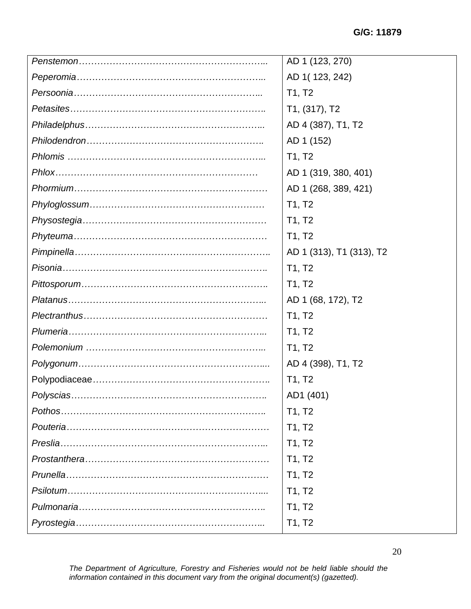| AD 1 (123, 270)          |
|--------------------------|
| AD 1(123, 242)           |
| T1, T2                   |
| T1, (317), T2            |
| AD 4 (387), T1, T2       |
| AD 1 (152)               |
| T1, T2                   |
| AD 1 (319, 380, 401)     |
| AD 1 (268, 389, 421)     |
| T1, T2                   |
| T1, T2                   |
| T1, T2                   |
| AD 1 (313), T1 (313), T2 |
| T1, T2                   |
| T1, T2                   |
| AD 1 (68, 172), T2       |
| T1, T2                   |
| T1, T2                   |
| T1, T2                   |
| AD 4 (398), T1, T2       |
| T1, T2                   |
| AD1 (401)                |
| T1, T2                   |
| T1, T2                   |
| T1, T2                   |
| T1, T2                   |
| T1, T2                   |
| T1, T2                   |
| T1, T2                   |
| T1, T2                   |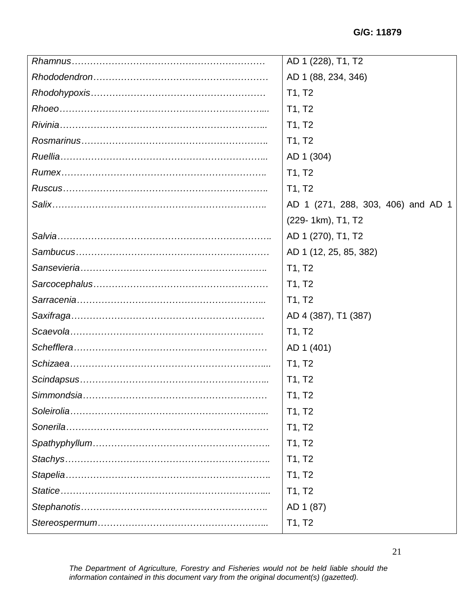| AD 1 (228), T1, T2                 |
|------------------------------------|
| AD 1 (88, 234, 346)                |
| T1, T2                             |
| T1, T2                             |
| T1, T2                             |
| T1, T2                             |
| AD 1 (304)                         |
| T1, T2                             |
| T1, T2                             |
| AD 1 (271, 288, 303, 406) and AD 1 |
| (229-1km), T1, T2                  |
| AD 1 (270), T1, T2                 |
| AD 1 (12, 25, 85, 382)             |
| T1, T2                             |
| T1, T2                             |
| T1, T2                             |
| AD 4 (387), T1 (387)               |
| T1, T2                             |
| AD 1 (401)                         |
| T1, T2                             |
| T1, T2                             |
| T1, T2                             |
| T1, T2                             |
| T1, T2                             |
| T1, T2                             |
| T1, T2                             |
| T1, T2                             |
| T1, T2                             |
| AD 1 (87)                          |
| T1, T2                             |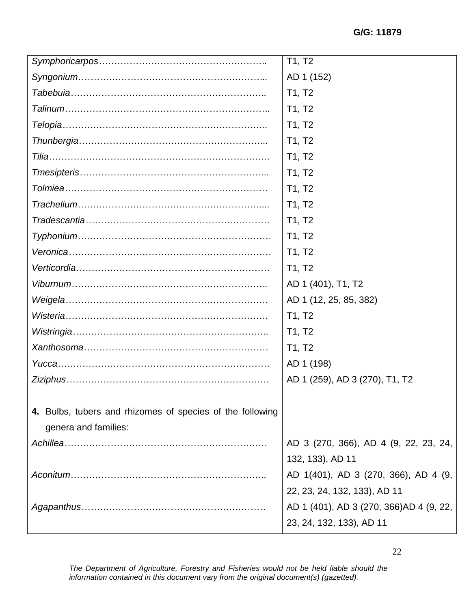|                                                           | $\overline{T}1, T2$                     |
|-----------------------------------------------------------|-----------------------------------------|
|                                                           | AD 1 (152)                              |
|                                                           | T1, T2                                  |
|                                                           | T1, T2                                  |
|                                                           | T1, T2                                  |
|                                                           | T1, T2                                  |
|                                                           | T1, T2                                  |
|                                                           | T1, T2                                  |
|                                                           | T1, T2                                  |
|                                                           | T1, T2                                  |
|                                                           | T1, T2                                  |
|                                                           | T1, T2                                  |
|                                                           | T1, T2                                  |
|                                                           | T1, T2                                  |
|                                                           | AD 1 (401), T1, T2                      |
|                                                           | AD 1 (12, 25, 85, 382)                  |
|                                                           | T1, T2                                  |
|                                                           | T1, T2                                  |
|                                                           | T1, T2                                  |
|                                                           | AD 1 (198)                              |
|                                                           | AD 1 (259), AD 3 (270), T1, T2          |
|                                                           |                                         |
| 4. Bulbs, tubers and rhizomes of species of the following |                                         |
| genera and families:                                      |                                         |
|                                                           | AD 3 (270, 366), AD 4 (9, 22, 23, 24,   |
|                                                           | 132, 133), AD 11                        |
|                                                           | AD 1(401), AD 3 (270, 366), AD 4 (9,    |
|                                                           | 22, 23, 24, 132, 133), AD 11            |
|                                                           | AD 1 (401), AD 3 (270, 366)AD 4 (9, 22, |
|                                                           | 23, 24, 132, 133), AD 11                |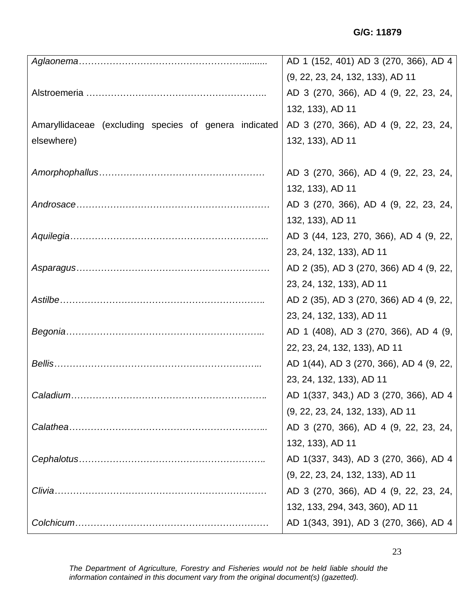|                                                       | AD 1 (152, 401) AD 3 (270, 366), AD 4   |
|-------------------------------------------------------|-----------------------------------------|
|                                                       | (9, 22, 23, 24, 132, 133), AD 11        |
|                                                       | AD 3 (270, 366), AD 4 (9, 22, 23, 24,   |
|                                                       | 132, 133), AD 11                        |
| Amaryllidaceae (excluding species of genera indicated | AD 3 (270, 366), AD 4 (9, 22, 23, 24,   |
| elsewhere)                                            | 132, 133), AD 11                        |
|                                                       |                                         |
|                                                       | AD 3 (270, 366), AD 4 (9, 22, 23, 24,   |
|                                                       | 132, 133), AD 11                        |
|                                                       | AD 3 (270, 366), AD 4 (9, 22, 23, 24,   |
|                                                       | 132, 133), AD 11                        |
|                                                       | AD 3 (44, 123, 270, 366), AD 4 (9, 22,  |
|                                                       | 23, 24, 132, 133), AD 11                |
|                                                       | AD 2 (35), AD 3 (270, 366) AD 4 (9, 22, |
|                                                       | 23, 24, 132, 133), AD 11                |
|                                                       | AD 2 (35), AD 3 (270, 366) AD 4 (9, 22, |
|                                                       | 23, 24, 132, 133), AD 11                |
|                                                       | AD 1 (408), AD 3 (270, 366), AD 4 (9,   |
|                                                       | 22, 23, 24, 132, 133), AD 11            |
|                                                       | AD 1(44), AD 3 (270, 366), AD 4 (9, 22, |
|                                                       | 23, 24, 132, 133), AD 11                |
| Caladium                                              | AD 1(337, 343,) AD 3 (270, 366), AD 4   |
|                                                       | (9, 22, 23, 24, 132, 133), AD 11        |
|                                                       | AD 3 (270, 366), AD 4 (9, 22, 23, 24,   |
|                                                       | 132, 133), AD 11                        |
|                                                       | AD 1(337, 343), AD 3 (270, 366), AD 4   |
|                                                       | (9, 22, 23, 24, 132, 133), AD 11        |
| Clivia.                                               | AD 3 (270, 366), AD 4 (9, 22, 23, 24,   |
|                                                       | 132, 133, 294, 343, 360), AD 11         |
|                                                       | AD 1(343, 391), AD 3 (270, 366), AD 4   |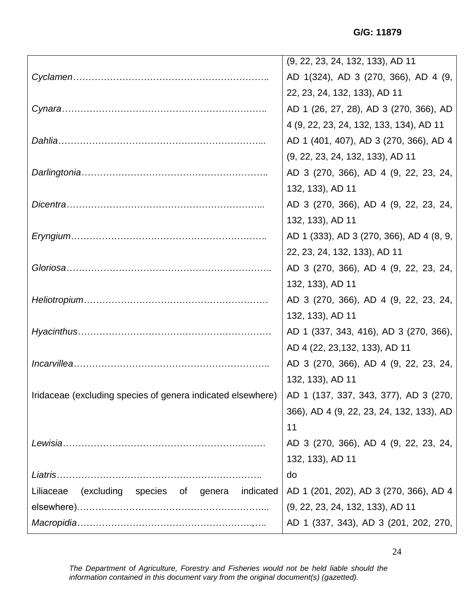|                                                             | (9, 22, 23, 24, 132, 133), AD 11         |
|-------------------------------------------------------------|------------------------------------------|
|                                                             | AD 1(324), AD 3 (270, 366), AD 4 (9,     |
|                                                             | 22, 23, 24, 132, 133), AD 11             |
|                                                             | AD 1 (26, 27, 28), AD 3 (270, 366), AD   |
|                                                             | 4 (9, 22, 23, 24, 132, 133, 134), AD 11  |
|                                                             | AD 1 (401, 407), AD 3 (270, 366), AD 4   |
|                                                             | (9, 22, 23, 24, 132, 133), AD 11         |
|                                                             | AD 3 (270, 366), AD 4 (9, 22, 23, 24,    |
|                                                             | 132, 133), AD 11                         |
|                                                             | AD 3 (270, 366), AD 4 (9, 22, 23, 24,    |
|                                                             | 132, 133), AD 11                         |
|                                                             | AD 1 (333), AD 3 (270, 366), AD 4 (8, 9, |
|                                                             | 22, 23, 24, 132, 133), AD 11             |
|                                                             | AD 3 (270, 366), AD 4 (9, 22, 23, 24,    |
|                                                             | 132, 133), AD 11                         |
|                                                             | AD 3 (270, 366), AD 4 (9, 22, 23, 24,    |
|                                                             | 132, 133), AD 11                         |
|                                                             | AD 1 (337, 343, 416), AD 3 (270, 366),   |
|                                                             | AD 4 (22, 23, 132, 133), AD 11           |
|                                                             | AD 3 (270, 366), AD 4 (9, 22, 23, 24,    |
|                                                             | 132, 133), AD 11                         |
| Iridaceae (excluding species of genera indicated elsewhere) | AD 1 (137, 337, 343, 377), AD 3 (270,    |
|                                                             | 366), AD 4 (9, 22, 23, 24, 132, 133), AD |
|                                                             | 11                                       |
|                                                             | AD 3 (270, 366), AD 4 (9, 22, 23, 24,    |
|                                                             | 132, 133), AD 11                         |
|                                                             | do                                       |
| (excluding<br>species of genera<br>indicated<br>Liliaceae   | AD 1 (201, 202), AD 3 (270, 366), AD 4   |
|                                                             | (9, 22, 23, 24, 132, 133), AD 11         |
|                                                             | AD 1 (337, 343), AD 3 (201, 202, 270,    |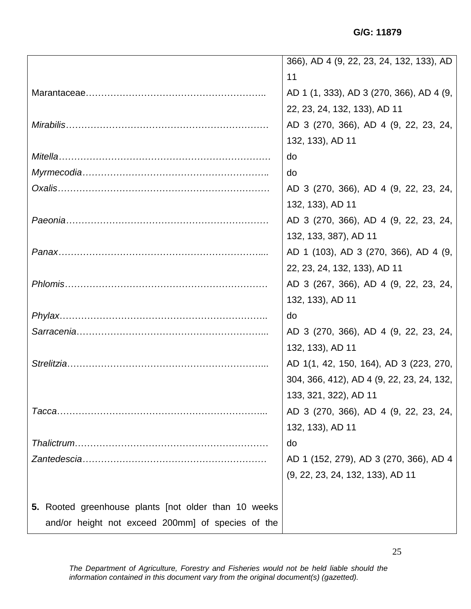**G/G: 11879**

|                                                      | 366), AD 4 (9, 22, 23, 24, 132, 133), AD  |
|------------------------------------------------------|-------------------------------------------|
|                                                      | 11                                        |
|                                                      | AD 1 (1, 333), AD 3 (270, 366), AD 4 (9,  |
|                                                      | 22, 23, 24, 132, 133), AD 11              |
|                                                      | AD 3 (270, 366), AD 4 (9, 22, 23, 24,     |
|                                                      | 132, 133), AD 11                          |
|                                                      | do                                        |
|                                                      | do                                        |
|                                                      | AD 3 (270, 366), AD 4 (9, 22, 23, 24,     |
|                                                      | 132, 133), AD 11                          |
|                                                      | AD 3 (270, 366), AD 4 (9, 22, 23, 24,     |
|                                                      | 132, 133, 387), AD 11                     |
|                                                      | AD 1 (103), AD 3 (270, 366), AD 4 (9,     |
|                                                      | 22, 23, 24, 132, 133), AD 11              |
|                                                      | AD 3 (267, 366), AD 4 (9, 22, 23, 24,     |
|                                                      | 132, 133), AD 11                          |
|                                                      | do                                        |
|                                                      | AD 3 (270, 366), AD 4 (9, 22, 23, 24,     |
|                                                      | 132, 133), AD 11                          |
| Strelitzia                                           | AD 1(1, 42, 150, 164), AD 3 (223, 270,    |
|                                                      | 304, 366, 412), AD 4 (9, 22, 23, 24, 132, |
|                                                      | 133, 321, 322), AD 11                     |
|                                                      | AD 3 (270, 366), AD 4 (9, 22, 23, 24,     |
|                                                      | 132, 133), AD 11                          |
|                                                      | do                                        |
|                                                      | AD 1 (152, 279), AD 3 (270, 366), AD 4    |
|                                                      | (9, 22, 23, 24, 132, 133), AD 11          |
|                                                      |                                           |
| 5. Rooted greenhouse plants [not older than 10 weeks |                                           |
| and/or height not exceed 200mm] of species of the    |                                           |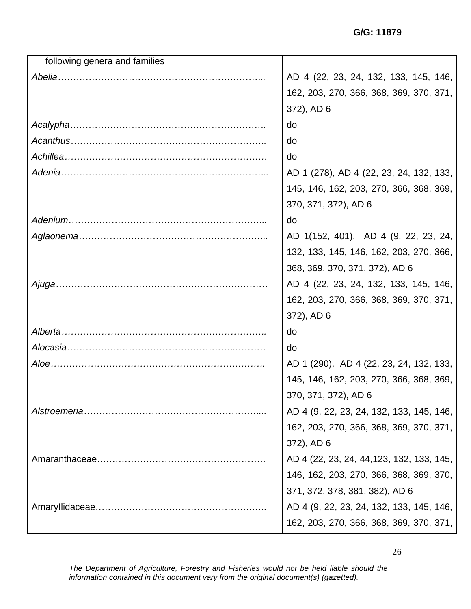| following genera and families |                                           |
|-------------------------------|-------------------------------------------|
|                               | AD 4 (22, 23, 24, 132, 133, 145, 146,     |
|                               | 162, 203, 270, 366, 368, 369, 370, 371,   |
|                               | 372), AD 6                                |
|                               | do                                        |
|                               | do                                        |
|                               | do                                        |
|                               | AD 1 (278), AD 4 (22, 23, 24, 132, 133,   |
|                               | 145, 146, 162, 203, 270, 366, 368, 369,   |
|                               | 370, 371, 372), AD 6                      |
|                               | do                                        |
|                               | AD 1(152, 401), AD 4 (9, 22, 23, 24,      |
|                               | 132, 133, 145, 146, 162, 203, 270, 366,   |
|                               | 368, 369, 370, 371, 372), AD 6            |
|                               | AD 4 (22, 23, 24, 132, 133, 145, 146,     |
|                               | 162, 203, 270, 366, 368, 369, 370, 371,   |
|                               | 372), AD 6                                |
|                               | do                                        |
|                               | do                                        |
|                               | AD 1 (290), AD 4 (22, 23, 24, 132, 133,   |
|                               | 145, 146, 162, 203, 270, 366, 368, 369,   |
|                               | 370, 371, 372), AD 6                      |
| Alstroemeria.                 | AD 4 (9, 22, 23, 24, 132, 133, 145, 146,  |
|                               | 162, 203, 270, 366, 368, 369, 370, 371,   |
|                               | 372), AD 6                                |
|                               | AD 4 (22, 23, 24, 44, 123, 132, 133, 145, |
|                               | 146, 162, 203, 270, 366, 368, 369, 370,   |
|                               | 371, 372, 378, 381, 382), AD 6            |
|                               | AD 4 (9, 22, 23, 24, 132, 133, 145, 146,  |
|                               | 162, 203, 270, 366, 368, 369, 370, 371,   |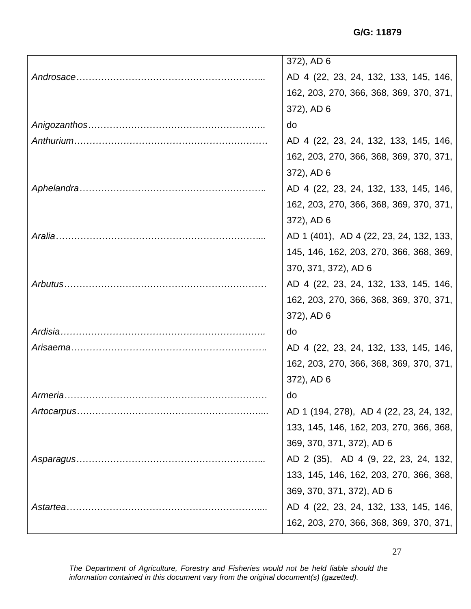**G/G: 11879**

|          | 372), AD 6                              |
|----------|-----------------------------------------|
|          | AD 4 (22, 23, 24, 132, 133, 145, 146,   |
|          | 162, 203, 270, 366, 368, 369, 370, 371, |
|          | 372), AD 6                              |
|          | do                                      |
|          | AD 4 (22, 23, 24, 132, 133, 145, 146,   |
|          | 162, 203, 270, 366, 368, 369, 370, 371, |
|          | 372), AD 6                              |
|          | AD 4 (22, 23, 24, 132, 133, 145, 146,   |
|          | 162, 203, 270, 366, 368, 369, 370, 371, |
|          | 372), AD 6                              |
|          | AD 1 (401), AD 4 (22, 23, 24, 132, 133, |
|          | 145, 146, 162, 203, 270, 366, 368, 369, |
|          | 370, 371, 372), AD 6                    |
|          | AD 4 (22, 23, 24, 132, 133, 145, 146,   |
|          | 162, 203, 270, 366, 368, 369, 370, 371, |
|          | 372), AD 6                              |
|          | do                                      |
|          | AD 4 (22, 23, 24, 132, 133, 145, 146,   |
|          | 162, 203, 270, 366, 368, 369, 370, 371, |
|          | 372), AD 6                              |
| Armeria. | do                                      |
|          | AD 1 (194, 278), AD 4 (22, 23, 24, 132, |
|          | 133, 145, 146, 162, 203, 270, 366, 368, |
|          | 369, 370, 371, 372), AD 6               |
|          | AD 2 (35), AD 4 (9, 22, 23, 24, 132,    |
|          | 133, 145, 146, 162, 203, 270, 366, 368, |
|          | 369, 370, 371, 372), AD 6               |
|          | AD 4 (22, 23, 24, 132, 133, 145, 146,   |
|          | 162, 203, 270, 366, 368, 369, 370, 371, |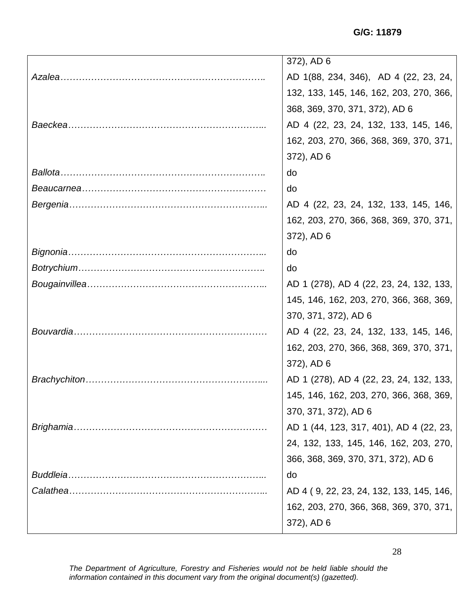**G/G: 11879**

| 372), AD 6                               |
|------------------------------------------|
| AD 1(88, 234, 346), AD 4 (22, 23, 24,    |
| 132, 133, 145, 146, 162, 203, 270, 366,  |
| 368, 369, 370, 371, 372), AD 6           |
| AD 4 (22, 23, 24, 132, 133, 145, 146,    |
| 162, 203, 270, 366, 368, 369, 370, 371,  |
| 372), AD 6                               |
| do                                       |
| do                                       |
| AD 4 (22, 23, 24, 132, 133, 145, 146,    |
| 162, 203, 270, 366, 368, 369, 370, 371,  |
| 372), AD 6                               |
| do                                       |
| do                                       |
| AD 1 (278), AD 4 (22, 23, 24, 132, 133,  |
| 145, 146, 162, 203, 270, 366, 368, 369,  |
| 370, 371, 372), AD 6                     |
| AD 4 (22, 23, 24, 132, 133, 145, 146,    |
| 162, 203, 270, 366, 368, 369, 370, 371,  |
| 372), AD 6                               |
| AD 1 (278), AD 4 (22, 23, 24, 132, 133,  |
| 145, 146, 162, 203, 270, 366, 368, 369,  |
| 370, 371, 372), AD 6                     |
| AD 1 (44, 123, 317, 401), AD 4 (22, 23,  |
| 24, 132, 133, 145, 146, 162, 203, 270,   |
| 366, 368, 369, 370, 371, 372), AD 6      |
| do                                       |
| AD 4 (9, 22, 23, 24, 132, 133, 145, 146, |
| 162, 203, 270, 366, 368, 369, 370, 371,  |
| 372), AD 6                               |

*The Department of Agriculture, Forestry and Fisheries would not be held liable should the information contained in this document vary from the original document(s) (gazetted).*

28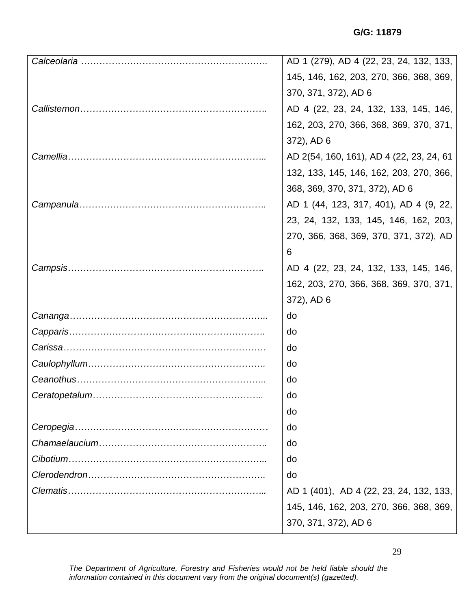| AD 1 (279), AD 4 (22, 23, 24, 132, 133,  |
|------------------------------------------|
| 145, 146, 162, 203, 270, 366, 368, 369,  |
| 370, 371, 372), AD 6                     |
| AD 4 (22, 23, 24, 132, 133, 145, 146,    |
| 162, 203, 270, 366, 368, 369, 370, 371,  |
| 372), AD 6                               |
| AD 2(54, 160, 161), AD 4 (22, 23, 24, 61 |
| 132, 133, 145, 146, 162, 203, 270, 366,  |
| 368, 369, 370, 371, 372), AD 6           |
| AD 1 (44, 123, 317, 401), AD 4 (9, 22,   |
| 23, 24, 132, 133, 145, 146, 162, 203,    |
| 270, 366, 368, 369, 370, 371, 372), AD   |
| 6                                        |
| AD 4 (22, 23, 24, 132, 133, 145, 146,    |
| 162, 203, 270, 366, 368, 369, 370, 371,  |
| 372), AD 6                               |
| do                                       |
| do                                       |
| do                                       |
| do                                       |
| do                                       |
| do                                       |
| do                                       |
| do                                       |
| do                                       |
| do                                       |
| do                                       |
| AD 1 (401), AD 4 (22, 23, 24, 132, 133,  |
| 145, 146, 162, 203, 270, 366, 368, 369,  |
| 370, 371, 372), AD 6                     |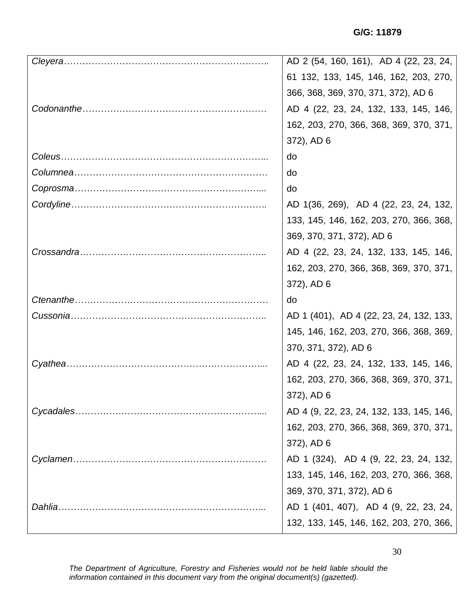|         | AD 2 (54, 160, 161), AD 4 (22, 23, 24,   |
|---------|------------------------------------------|
|         | 61 132, 133, 145, 146, 162, 203, 270,    |
|         | 366, 368, 369, 370, 371, 372), AD 6      |
|         | AD 4 (22, 23, 24, 132, 133, 145, 146,    |
|         | 162, 203, 270, 366, 368, 369, 370, 371,  |
|         | 372), AD 6                               |
|         | do                                       |
|         | do                                       |
|         | do                                       |
|         | AD 1(36, 269), AD 4 (22, 23, 24, 132,    |
|         | 133, 145, 146, 162, 203, 270, 366, 368,  |
|         | 369, 370, 371, 372), AD 6                |
|         | AD 4 (22, 23, 24, 132, 133, 145, 146,    |
|         | 162, 203, 270, 366, 368, 369, 370, 371,  |
|         | 372), AD 6                               |
|         | do                                       |
|         | AD 1 (401), AD 4 (22, 23, 24, 132, 133,  |
|         | 145, 146, 162, 203, 270, 366, 368, 369,  |
|         | 370, 371, 372), AD 6                     |
|         | AD 4 (22, 23, 24, 132, 133, 145, 146,    |
|         | 162, 203, 270, 366, 368, 369, 370, 371,  |
|         | 372), AD 6                               |
|         | AD 4 (9, 22, 23, 24, 132, 133, 145, 146, |
|         | 162, 203, 270, 366, 368, 369, 370, 371,  |
|         | 372), AD 6                               |
|         | AD 1 (324), AD 4 (9, 22, 23, 24, 132,    |
|         | 133, 145, 146, 162, 203, 270, 366, 368,  |
|         | 369, 370, 371, 372), AD 6                |
| Dahlia. | AD 1 (401, 407), AD 4 (9, 22, 23, 24,    |
|         | 132, 133, 145, 146, 162, 203, 270, 366,  |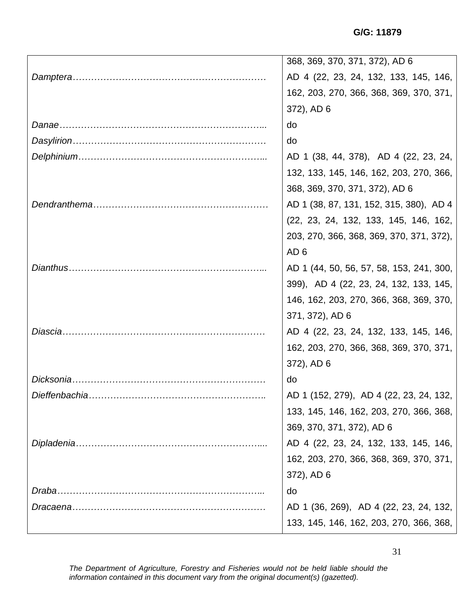|           | 368, 369, 370, 371, 372), AD 6           |
|-----------|------------------------------------------|
|           | AD 4 (22, 23, 24, 132, 133, 145, 146,    |
|           | 162, 203, 270, 366, 368, 369, 370, 371,  |
|           | 372), AD 6                               |
|           | do                                       |
|           | do                                       |
|           | AD 1 (38, 44, 378), AD 4 (22, 23, 24,    |
|           | 132, 133, 145, 146, 162, 203, 270, 366,  |
|           | 368, 369, 370, 371, 372), AD 6           |
|           | AD 1 (38, 87, 131, 152, 315, 380), AD 4  |
|           | (22, 23, 24, 132, 133, 145, 146, 162,    |
|           | 203, 270, 366, 368, 369, 370, 371, 372), |
|           | AD <sub>6</sub>                          |
|           | AD 1 (44, 50, 56, 57, 58, 153, 241, 300, |
|           | 399), AD 4 (22, 23, 24, 132, 133, 145,   |
|           | 146, 162, 203, 270, 366, 368, 369, 370,  |
|           | 371, 372), AD 6                          |
| Diascia   | AD 4 (22, 23, 24, 132, 133, 145, 146,    |
|           | 162, 203, 270, 366, 368, 369, 370, 371,  |
|           | 372), AD 6                               |
| Dicksonia | do                                       |
|           | AD 1 (152, 279), AD 4 (22, 23, 24, 132,  |
|           | 133, 145, 146, 162, 203, 270, 366, 368,  |
|           | 369, 370, 371, 372), AD 6                |
|           | AD 4 (22, 23, 24, 132, 133, 145, 146,    |
|           | 162, 203, 270, 366, 368, 369, 370, 371,  |
|           | 372), AD 6                               |
| Draba.    | do                                       |
|           | AD 1 (36, 269), AD 4 (22, 23, 24, 132,   |
|           | 133, 145, 146, 162, 203, 270, 366, 368,  |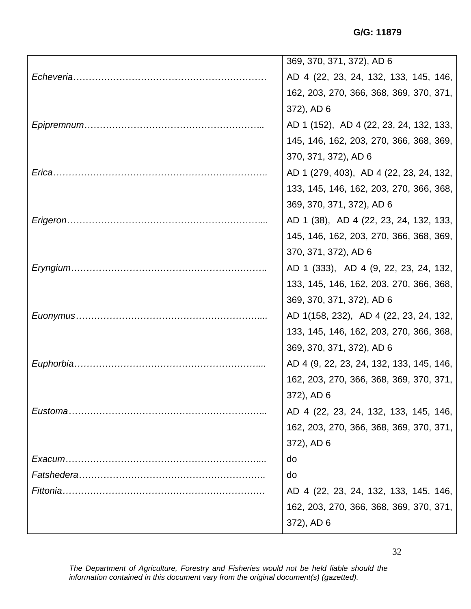| 369, 370, 371, 372), AD 6                |
|------------------------------------------|
| AD 4 (22, 23, 24, 132, 133, 145, 146,    |
| 162, 203, 270, 366, 368, 369, 370, 371,  |
| 372), AD 6                               |
| AD 1 (152), AD 4 (22, 23, 24, 132, 133,  |
| 145, 146, 162, 203, 270, 366, 368, 369,  |
| 370, 371, 372), AD 6                     |
| AD 1 (279, 403), AD 4 (22, 23, 24, 132,  |
| 133, 145, 146, 162, 203, 270, 366, 368,  |
| 369, 370, 371, 372), AD 6                |
| AD 1 (38), AD 4 (22, 23, 24, 132, 133,   |
| 145, 146, 162, 203, 270, 366, 368, 369,  |
| 370, 371, 372), AD 6                     |
| AD 1 (333), AD 4 (9, 22, 23, 24, 132,    |
| 133, 145, 146, 162, 203, 270, 366, 368,  |
| 369, 370, 371, 372), AD 6                |
| AD 1(158, 232), AD 4 (22, 23, 24, 132,   |
| 133, 145, 146, 162, 203, 270, 366, 368,  |
| 369, 370, 371, 372), AD 6                |
| AD 4 (9, 22, 23, 24, 132, 133, 145, 146, |
| 162, 203, 270, 366, 368, 369, 370, 371,  |
| 372), AD 6                               |
| AD 4 (22, 23, 24, 132, 133, 145, 146,    |
| 162, 203, 270, 366, 368, 369, 370, 371,  |
| 372), AD 6                               |
| do                                       |
| do                                       |
| AD 4 (22, 23, 24, 132, 133, 145, 146,    |
| 162, 203, 270, 366, 368, 369, 370, 371,  |
| 372), AD 6                               |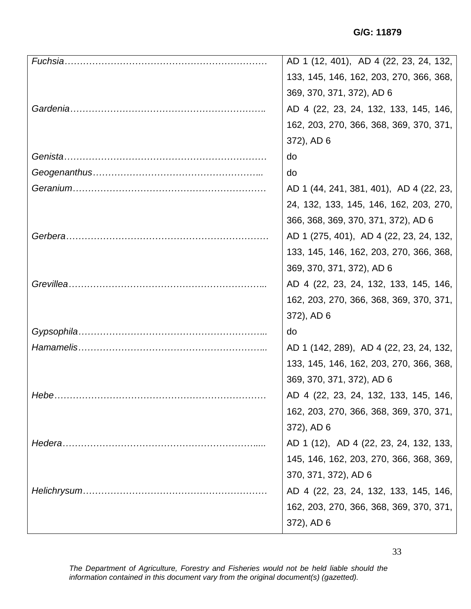|              | AD 1 (12, 401), AD 4 (22, 23, 24, 132,  |
|--------------|-----------------------------------------|
|              | 133, 145, 146, 162, 203, 270, 366, 368, |
|              | 369, 370, 371, 372), AD 6               |
|              | AD 4 (22, 23, 24, 132, 133, 145, 146,   |
|              | 162, 203, 270, 366, 368, 369, 370, 371, |
|              | 372), AD 6                              |
|              | do                                      |
|              | do                                      |
|              | AD 1 (44, 241, 381, 401), AD 4 (22, 23, |
|              | 24, 132, 133, 145, 146, 162, 203, 270,  |
|              | 366, 368, 369, 370, 371, 372), AD 6     |
|              | AD 1 (275, 401), AD 4 (22, 23, 24, 132, |
|              | 133, 145, 146, 162, 203, 270, 366, 368, |
|              | 369, 370, 371, 372), AD 6               |
|              | AD 4 (22, 23, 24, 132, 133, 145, 146,   |
|              | 162, 203, 270, 366, 368, 369, 370, 371, |
|              | 372), AD 6                              |
|              | do                                      |
|              | AD 1 (142, 289), AD 4 (22, 23, 24, 132, |
|              | 133, 145, 146, 162, 203, 270, 366, 368, |
|              | 369, 370, 371, 372), AD 6               |
| Hebe.        | AD 4 (22, 23, 24, 132, 133, 145, 146,   |
|              | 162, 203, 270, 366, 368, 369, 370, 371, |
|              | 372), AD 6                              |
| Hedera       | AD 1 (12), AD 4 (22, 23, 24, 132, 133,  |
|              | 145, 146, 162, 203, 270, 366, 368, 369, |
|              | 370, 371, 372), AD 6                    |
| Helichrysum. | AD 4 (22, 23, 24, 132, 133, 145, 146,   |
|              | 162, 203, 270, 366, 368, 369, 370, 371, |
|              | 372), AD 6                              |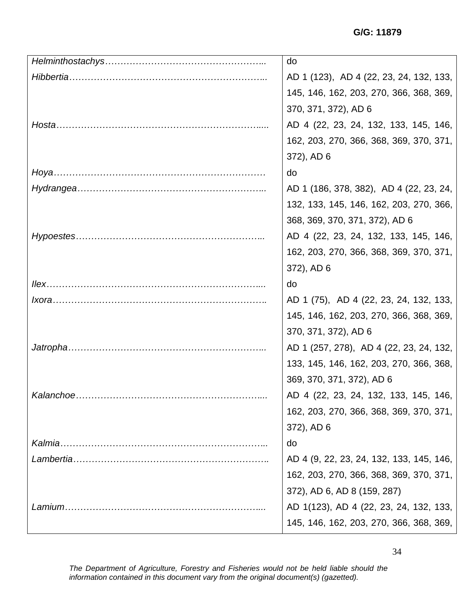|           | do                                       |
|-----------|------------------------------------------|
|           | AD 1 (123), AD 4 (22, 23, 24, 132, 133,  |
|           | 145, 146, 162, 203, 270, 366, 368, 369,  |
|           | 370, 371, 372), AD 6                     |
|           | AD 4 (22, 23, 24, 132, 133, 145, 146,    |
|           | 162, 203, 270, 366, 368, 369, 370, 371,  |
|           | 372), AD 6                               |
|           | do                                       |
|           | AD 1 (186, 378, 382), AD 4 (22, 23, 24,  |
|           | 132, 133, 145, 146, 162, 203, 270, 366,  |
|           | 368, 369, 370, 371, 372), AD 6           |
|           | AD 4 (22, 23, 24, 132, 133, 145, 146,    |
|           | 162, 203, 270, 366, 368, 369, 370, 371,  |
|           | 372), AD 6                               |
|           | do                                       |
|           | AD 1 (75), AD 4 (22, 23, 24, 132, 133,   |
|           | 145, 146, 162, 203, 270, 366, 368, 369,  |
|           | 370, 371, 372), AD 6                     |
|           | AD 1 (257, 278), AD 4 (22, 23, 24, 132,  |
|           | 133, 145, 146, 162, 203, 270, 366, 368,  |
|           | 369, 370, 371, 372), AD 6                |
| Kalanchoe | AD 4 (22, 23, 24, 132, 133, 145, 146,    |
|           | 162, 203, 270, 366, 368, 369, 370, 371,  |
|           | 372), AD 6                               |
| Kalmia.   | do                                       |
|           | AD 4 (9, 22, 23, 24, 132, 133, 145, 146, |
|           | 162, 203, 270, 366, 368, 369, 370, 371,  |
|           | 372), AD 6, AD 8 (159, 287)              |
|           | AD 1(123), AD 4 (22, 23, 24, 132, 133,   |
|           | 145, 146, 162, 203, 270, 366, 368, 369,  |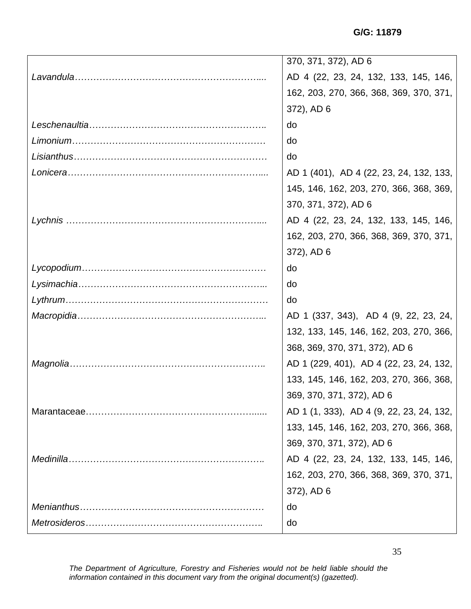| 370, 371, 372), AD 6                     |
|------------------------------------------|
| AD 4 (22, 23, 24, 132, 133, 145, 146,    |
| 162, 203, 270, 366, 368, 369, 370, 371,  |
| 372), AD 6                               |
| do                                       |
| do                                       |
| do                                       |
| AD 1 (401), AD 4 (22, 23, 24, 132, 133,  |
| 145, 146, 162, 203, 270, 366, 368, 369,  |
| 370, 371, 372), AD 6                     |
| AD 4 (22, 23, 24, 132, 133, 145, 146,    |
| 162, 203, 270, 366, 368, 369, 370, 371,  |
| 372), AD 6                               |
| do                                       |
| do                                       |
| do                                       |
| AD 1 (337, 343), AD 4 (9, 22, 23, 24,    |
| 132, 133, 145, 146, 162, 203, 270, 366,  |
| 368, 369, 370, 371, 372), AD 6           |
| AD 1 (229, 401), AD 4 (22, 23, 24, 132,  |
| 133, 145, 146, 162, 203, 270, 366, 368,  |
| 369, 370, 371, 372), AD 6                |
| AD 1 (1, 333), AD 4 (9, 22, 23, 24, 132, |
| 133, 145, 146, 162, 203, 270, 366, 368,  |
| 369, 370, 371, 372), AD 6                |
| AD 4 (22, 23, 24, 132, 133, 145, 146,    |
| 162, 203, 270, 366, 368, 369, 370, 371,  |
| 372), AD 6                               |
| do                                       |
| do                                       |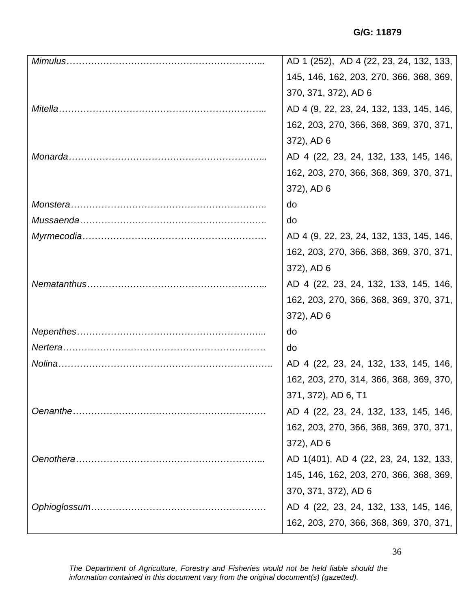| AD 1 (252), AD 4 (22, 23, 24, 132, 133,  |
|------------------------------------------|
| 145, 146, 162, 203, 270, 366, 368, 369,  |
| 370, 371, 372), AD 6                     |
| AD 4 (9, 22, 23, 24, 132, 133, 145, 146, |
| 162, 203, 270, 366, 368, 369, 370, 371,  |
| 372), AD 6                               |
| AD 4 (22, 23, 24, 132, 133, 145, 146,    |
| 162, 203, 270, 366, 368, 369, 370, 371,  |
| 372), AD 6                               |
| do                                       |
| do                                       |
| AD 4 (9, 22, 23, 24, 132, 133, 145, 146, |
| 162, 203, 270, 366, 368, 369, 370, 371,  |
| 372), AD 6                               |
| AD 4 (22, 23, 24, 132, 133, 145, 146,    |
| 162, 203, 270, 366, 368, 369, 370, 371,  |
| 372), AD 6                               |
| do                                       |
| do                                       |
| AD 4 (22, 23, 24, 132, 133, 145, 146,    |
| 162, 203, 270, 314, 366, 368, 369, 370,  |
| 371, 372), AD 6, T1                      |
| AD 4 (22, 23, 24, 132, 133, 145, 146,    |
| 162, 203, 270, 366, 368, 369, 370, 371,  |
| 372), AD 6                               |
| AD 1(401), AD 4 (22, 23, 24, 132, 133,   |
| 145, 146, 162, 203, 270, 366, 368, 369,  |
| 370, 371, 372), AD 6                     |
| AD 4 (22, 23, 24, 132, 133, 145, 146,    |
| 162, 203, 270, 366, 368, 369, 370, 371,  |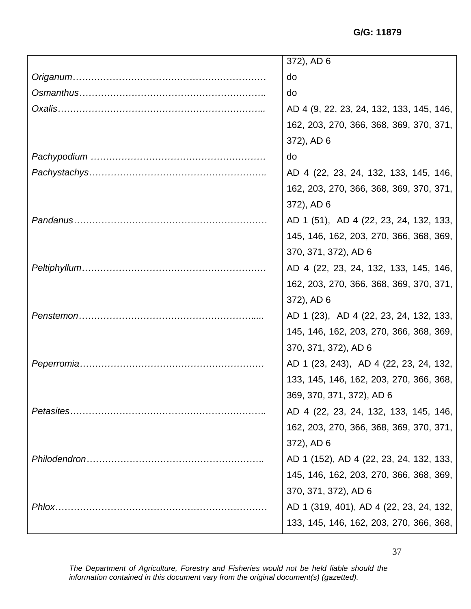**G/G: 11879**

|           | 372), AD 6                               |
|-----------|------------------------------------------|
|           | do                                       |
|           | do                                       |
|           | AD 4 (9, 22, 23, 24, 132, 133, 145, 146, |
|           | 162, 203, 270, 366, 368, 369, 370, 371,  |
|           | 372), AD 6                               |
|           | do                                       |
|           | AD 4 (22, 23, 24, 132, 133, 145, 146,    |
|           | 162, 203, 270, 366, 368, 369, 370, 371,  |
|           | 372), AD 6                               |
|           | AD 1 (51), AD 4 (22, 23, 24, 132, 133,   |
|           | 145, 146, 162, 203, 270, 366, 368, 369,  |
|           | 370, 371, 372), AD 6                     |
|           | AD 4 (22, 23, 24, 132, 133, 145, 146,    |
|           | 162, 203, 270, 366, 368, 369, 370, 371,  |
|           | 372), AD 6                               |
|           | AD 1 (23), AD 4 (22, 23, 24, 132, 133,   |
|           | 145, 146, 162, 203, 270, 366, 368, 369,  |
|           | 370, 371, 372), AD 6                     |
|           | AD 1 (23, 243), AD 4 (22, 23, 24, 132,   |
|           | 133, 145, 146, 162, 203, 270, 366, 368,  |
|           | 369, 370, 371, 372), AD 6                |
| Petasites | AD 4 (22, 23, 24, 132, 133, 145, 146,    |
|           | 162, 203, 270, 366, 368, 369, 370, 371,  |
|           | 372), AD 6                               |
|           | AD 1 (152), AD 4 (22, 23, 24, 132, 133,  |
|           | 145, 146, 162, 203, 270, 366, 368, 369,  |
|           | 370, 371, 372), AD 6                     |
|           | AD 1 (319, 401), AD 4 (22, 23, 24, 132,  |
|           | 133, 145, 146, 162, 203, 270, 366, 368,  |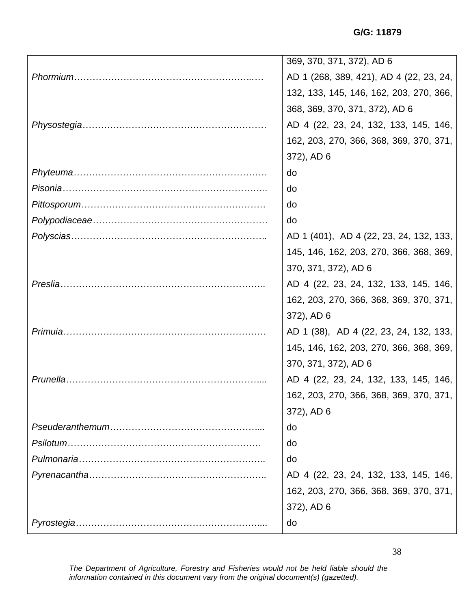| 369, 370, 371, 372), AD 6               |
|-----------------------------------------|
| AD 1 (268, 389, 421), AD 4 (22, 23, 24, |
| 132, 133, 145, 146, 162, 203, 270, 366, |
| 368, 369, 370, 371, 372), AD 6          |
| AD 4 (22, 23, 24, 132, 133, 145, 146,   |
| 162, 203, 270, 366, 368, 369, 370, 371, |
| 372), AD 6                              |
| do                                      |
| do                                      |
| do                                      |
| do                                      |
| AD 1 (401), AD 4 (22, 23, 24, 132, 133, |
| 145, 146, 162, 203, 270, 366, 368, 369, |
| 370, 371, 372), AD 6                    |
| AD 4 (22, 23, 24, 132, 133, 145, 146,   |
| 162, 203, 270, 366, 368, 369, 370, 371, |
| 372), AD 6                              |
| AD 1 (38), AD 4 (22, 23, 24, 132, 133,  |
| 145, 146, 162, 203, 270, 366, 368, 369, |
| 370, 371, 372), AD 6                    |
| AD 4 (22, 23, 24, 132, 133, 145, 146,   |
| 162, 203, 270, 366, 368, 369, 370, 371, |
| 372), AD 6                              |
| do                                      |
| do                                      |
| do                                      |
| AD 4 (22, 23, 24, 132, 133, 145, 146,   |
| 162, 203, 270, 366, 368, 369, 370, 371, |
| 372), AD 6                              |
| do                                      |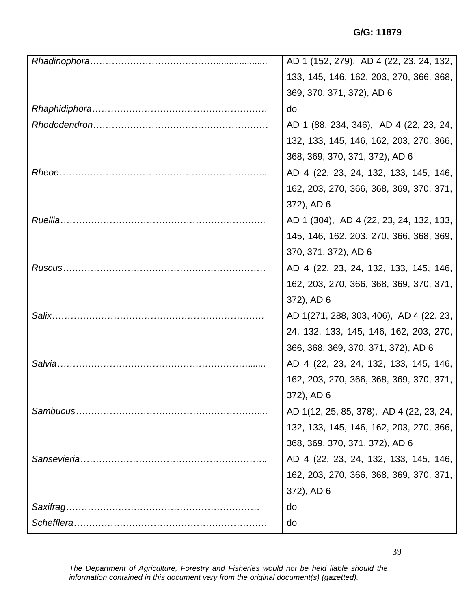| AD 1 (152, 279), AD 4 (22, 23, 24, 132,  |
|------------------------------------------|
| 133, 145, 146, 162, 203, 270, 366, 368,  |
| 369, 370, 371, 372), AD 6                |
| do                                       |
| AD 1 (88, 234, 346), AD 4 (22, 23, 24,   |
| 132, 133, 145, 146, 162, 203, 270, 366,  |
| 368, 369, 370, 371, 372), AD 6           |
| AD 4 (22, 23, 24, 132, 133, 145, 146,    |
| 162, 203, 270, 366, 368, 369, 370, 371,  |
| 372), AD 6                               |
| AD 1 (304), AD 4 (22, 23, 24, 132, 133,  |
| 145, 146, 162, 203, 270, 366, 368, 369,  |
| 370, 371, 372), AD 6                     |
| AD 4 (22, 23, 24, 132, 133, 145, 146,    |
| 162, 203, 270, 366, 368, 369, 370, 371,  |
| 372), AD 6                               |
| AD 1(271, 288, 303, 406), AD 4 (22, 23,  |
| 24, 132, 133, 145, 146, 162, 203, 270,   |
| 366, 368, 369, 370, 371, 372), AD 6      |
| AD 4 (22, 23, 24, 132, 133, 145, 146,    |
| 162, 203, 270, 366, 368, 369, 370, 371,  |
| 372), AD 6                               |
| AD 1(12, 25, 85, 378), AD 4 (22, 23, 24, |
| 132, 133, 145, 146, 162, 203, 270, 366,  |
| 368, 369, 370, 371, 372), AD 6           |
| AD 4 (22, 23, 24, 132, 133, 145, 146,    |
| 162, 203, 270, 366, 368, 369, 370, 371,  |
| 372), AD 6                               |
| do                                       |
| do                                       |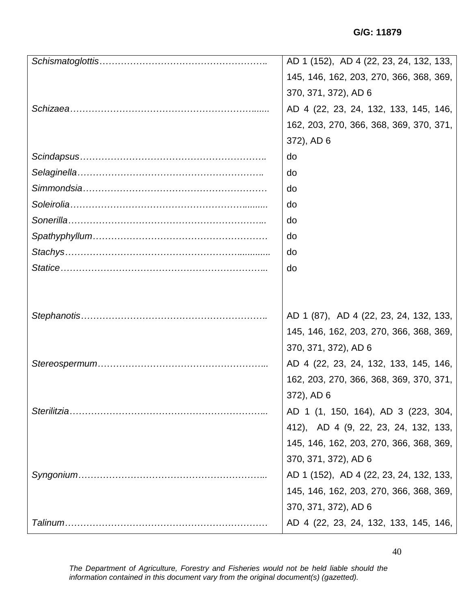|              | AD 1 (152), AD 4 (22, 23, 24, 132, 133, |
|--------------|-----------------------------------------|
|              | 145, 146, 162, 203, 270, 366, 368, 369, |
|              | 370, 371, 372), AD 6                    |
|              | AD 4 (22, 23, 24, 132, 133, 145, 146,   |
|              | 162, 203, 270, 366, 368, 369, 370, 371, |
|              | 372), AD 6                              |
|              | do                                      |
|              | do                                      |
|              | do                                      |
|              | do                                      |
|              | do                                      |
|              | do                                      |
|              | do                                      |
|              | do                                      |
|              |                                         |
|              |                                         |
|              | AD 1 (87), AD 4 (22, 23, 24, 132, 133,  |
|              | 145, 146, 162, 203, 270, 366, 368, 369, |
|              | 370, 371, 372), AD 6                    |
|              | AD 4 (22, 23, 24, 132, 133, 145, 146,   |
|              | 162, 203, 270, 366, 368, 369, 370, 371, |
|              | 372), AD 6                              |
| Sterilitzia. | AD 1 (1, 150, 164), AD 3 (223, 304,     |
|              | 412), AD 4 (9, 22, 23, 24, 132, 133,    |
|              | 145, 146, 162, 203, 270, 366, 368, 369, |
|              | 370, 371, 372), AD 6                    |
|              | AD 1 (152), AD 4 (22, 23, 24, 132, 133, |
|              | 145, 146, 162, 203, 270, 366, 368, 369, |
|              | 370, 371, 372), AD 6                    |
|              | AD 4 (22, 23, 24, 132, 133, 145, 146,   |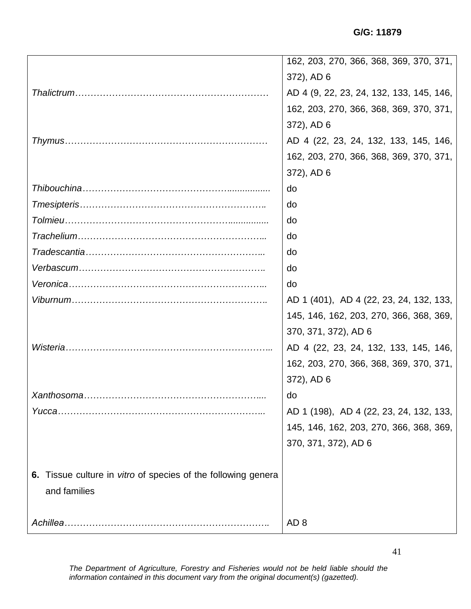**G/G: 11879**

|                                                               | 162, 203, 270, 366, 368, 369, 370, 371,  |
|---------------------------------------------------------------|------------------------------------------|
|                                                               | 372), AD 6                               |
|                                                               | AD 4 (9, 22, 23, 24, 132, 133, 145, 146, |
|                                                               | 162, 203, 270, 366, 368, 369, 370, 371,  |
|                                                               | 372), AD 6                               |
|                                                               | AD 4 (22, 23, 24, 132, 133, 145, 146,    |
|                                                               | 162, 203, 270, 366, 368, 369, 370, 371,  |
|                                                               | 372), AD 6                               |
|                                                               | do                                       |
|                                                               | do                                       |
|                                                               | do                                       |
|                                                               | do                                       |
|                                                               | do                                       |
|                                                               | do                                       |
|                                                               | do                                       |
|                                                               | AD 1 (401), AD 4 (22, 23, 24, 132, 133,  |
|                                                               |                                          |
|                                                               | 145, 146, 162, 203, 270, 366, 368, 369,  |
|                                                               | 370, 371, 372), AD 6                     |
|                                                               | AD 4 (22, 23, 24, 132, 133, 145, 146,    |
|                                                               | 162, 203, 270, 366, 368, 369, 370, 371,  |
|                                                               | 372), AD 6                               |
| Xanthosoma                                                    | do.                                      |
|                                                               |                                          |
|                                                               | 145, 146, 162, 203, 270, 366, 368, 369,  |
|                                                               | 370, 371, 372), AD 6                     |
|                                                               | AD 1 (198), AD 4 (22, 23, 24, 132, 133,  |
| 6. Tissue culture in vitro of species of the following genera |                                          |
| and families                                                  |                                          |
|                                                               |                                          |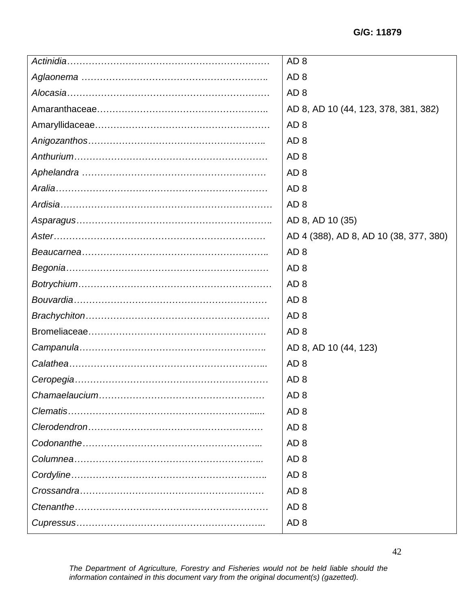|          | AD <sub>8</sub>                        |
|----------|----------------------------------------|
|          | AD <sub>8</sub>                        |
|          | AD <sub>8</sub>                        |
|          | AD 8, AD 10 (44, 123, 378, 381, 382)   |
|          | AD <sub>8</sub>                        |
|          | AD <sub>8</sub>                        |
|          | AD <sub>8</sub>                        |
|          | AD <sub>8</sub>                        |
|          | AD <sub>8</sub>                        |
|          | AD <sub>8</sub>                        |
|          | AD 8, AD 10 (35)                       |
|          | AD 4 (388), AD 8, AD 10 (38, 377, 380) |
|          | AD <sub>8</sub>                        |
|          | AD <sub>8</sub>                        |
|          | AD <sub>8</sub>                        |
|          | AD <sub>8</sub>                        |
|          | AD <sub>8</sub>                        |
|          |                                        |
|          | AD <sub>8</sub>                        |
|          | AD 8, AD 10 (44, 123)                  |
|          | AD <sub>8</sub>                        |
|          | AD <sub>8</sub>                        |
|          | AD <sub>8</sub>                        |
| Clematis | AD <sub>8</sub>                        |
|          | AD <sub>8</sub>                        |
|          | AD <sub>8</sub>                        |
|          | AD <sub>8</sub>                        |
|          | AD <sub>8</sub>                        |
|          | AD <sub>8</sub>                        |
|          | AD <sub>8</sub>                        |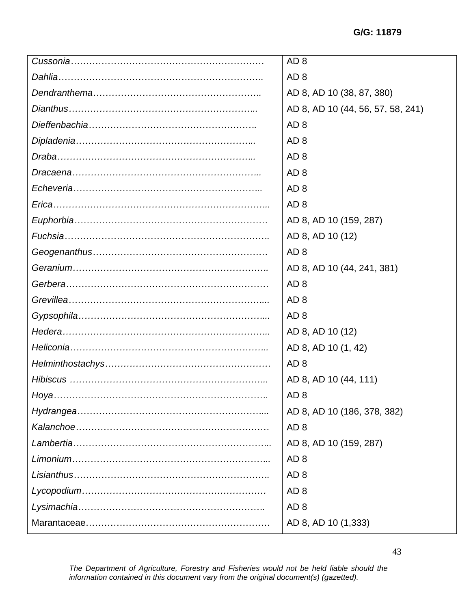| AD <sub>8</sub>                   |
|-----------------------------------|
| AD <sub>8</sub>                   |
| AD 8, AD 10 (38, 87, 380)         |
| AD 8, AD 10 (44, 56, 57, 58, 241) |
| AD <sub>8</sub>                   |
| AD <sub>8</sub>                   |
| AD <sub>8</sub>                   |
| AD <sub>8</sub>                   |
| AD <sub>8</sub>                   |
| AD <sub>8</sub>                   |
| AD 8, AD 10 (159, 287)            |
| AD 8, AD 10 (12)                  |
| AD <sub>8</sub>                   |
| AD 8, AD 10 (44, 241, 381)        |
| AD <sub>8</sub>                   |
| AD <sub>8</sub>                   |
| AD <sub>8</sub>                   |
| AD 8, AD 10 (12)                  |
| AD 8, AD 10 (1, 42)               |
| AD <sub>8</sub>                   |
| AD 8, AD 10 (44, 111)             |
| AD <sub>8</sub>                   |
| AD 8, AD 10 (186, 378, 382)       |
| AD <sub>8</sub>                   |
| AD 8, AD 10 (159, 287)            |
| AD <sub>8</sub>                   |
| AD <sub>8</sub>                   |
| AD <sub>8</sub>                   |
| AD <sub>8</sub>                   |
| AD 8, AD 10 (1,333)               |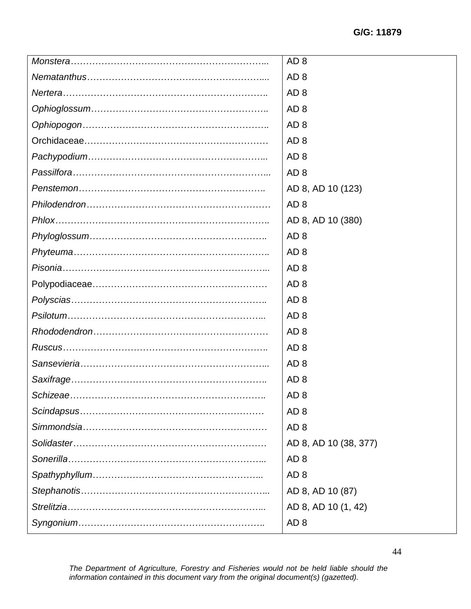| AD <sub>8</sub><br>AD <sub>8</sub><br>AD <sub>8</sub><br>AD <sub>8</sub><br>AD <sub>8</sub><br>AD <sub>8</sub><br>AD <sub>8</sub><br>AD 8, AD 10 (123)<br>AD <sub>8</sub><br>AD 8, AD 10 (380)<br>AD <sub>8</sub><br>AD <sub>8</sub><br>AD <sub>8</sub><br>AD <sub>8</sub><br>AD <sub>8</sub><br>AD <sub>8</sub><br>AD <sub>8</sub><br>AD <sub>8</sub><br>AD <sub>8</sub><br>AD <sub>8</sub><br>AD <sub>8</sub><br>AD <sub>8</sub><br>AD <sub>8</sub><br>AD 8, AD 10 (38, 377)<br>AD <sub>8</sub><br>AD <sub>8</sub> | AD <sub>8</sub> |
|----------------------------------------------------------------------------------------------------------------------------------------------------------------------------------------------------------------------------------------------------------------------------------------------------------------------------------------------------------------------------------------------------------------------------------------------------------------------------------------------------------------------|-----------------|
|                                                                                                                                                                                                                                                                                                                                                                                                                                                                                                                      |                 |
|                                                                                                                                                                                                                                                                                                                                                                                                                                                                                                                      |                 |
|                                                                                                                                                                                                                                                                                                                                                                                                                                                                                                                      |                 |
|                                                                                                                                                                                                                                                                                                                                                                                                                                                                                                                      |                 |
|                                                                                                                                                                                                                                                                                                                                                                                                                                                                                                                      |                 |
|                                                                                                                                                                                                                                                                                                                                                                                                                                                                                                                      |                 |
|                                                                                                                                                                                                                                                                                                                                                                                                                                                                                                                      |                 |
|                                                                                                                                                                                                                                                                                                                                                                                                                                                                                                                      |                 |
|                                                                                                                                                                                                                                                                                                                                                                                                                                                                                                                      |                 |
|                                                                                                                                                                                                                                                                                                                                                                                                                                                                                                                      |                 |
|                                                                                                                                                                                                                                                                                                                                                                                                                                                                                                                      |                 |
|                                                                                                                                                                                                                                                                                                                                                                                                                                                                                                                      |                 |
|                                                                                                                                                                                                                                                                                                                                                                                                                                                                                                                      |                 |
|                                                                                                                                                                                                                                                                                                                                                                                                                                                                                                                      |                 |
|                                                                                                                                                                                                                                                                                                                                                                                                                                                                                                                      |                 |
|                                                                                                                                                                                                                                                                                                                                                                                                                                                                                                                      |                 |
|                                                                                                                                                                                                                                                                                                                                                                                                                                                                                                                      |                 |
|                                                                                                                                                                                                                                                                                                                                                                                                                                                                                                                      |                 |
|                                                                                                                                                                                                                                                                                                                                                                                                                                                                                                                      |                 |
|                                                                                                                                                                                                                                                                                                                                                                                                                                                                                                                      |                 |
|                                                                                                                                                                                                                                                                                                                                                                                                                                                                                                                      |                 |
|                                                                                                                                                                                                                                                                                                                                                                                                                                                                                                                      |                 |
|                                                                                                                                                                                                                                                                                                                                                                                                                                                                                                                      |                 |
|                                                                                                                                                                                                                                                                                                                                                                                                                                                                                                                      |                 |
|                                                                                                                                                                                                                                                                                                                                                                                                                                                                                                                      |                 |
|                                                                                                                                                                                                                                                                                                                                                                                                                                                                                                                      |                 |
| AD 8, AD 10 (87)                                                                                                                                                                                                                                                                                                                                                                                                                                                                                                     |                 |
| AD 8, AD 10 (1, 42)                                                                                                                                                                                                                                                                                                                                                                                                                                                                                                  |                 |
| AD <sub>8</sub>                                                                                                                                                                                                                                                                                                                                                                                                                                                                                                      |                 |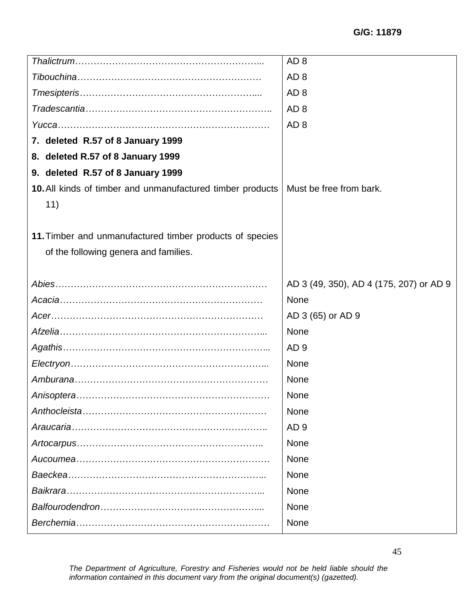|                                                                   | AD <sub>8</sub>                         |
|-------------------------------------------------------------------|-----------------------------------------|
|                                                                   | AD <sub>8</sub>                         |
|                                                                   | AD <sub>8</sub>                         |
|                                                                   | AD <sub>8</sub>                         |
|                                                                   | AD <sub>8</sub>                         |
| 7. deleted R.57 of 8 January 1999                                 |                                         |
| 8. deleted R.57 of 8 January 1999                                 |                                         |
| 9. deleted R.57 of 8 January 1999                                 |                                         |
| <b>10.</b> All kinds of timber and unmanufactured timber products | Must be free from bark.                 |
| 11)                                                               |                                         |
|                                                                   |                                         |
| 11. Timber and unmanufactured timber products of species          |                                         |
| of the following genera and families.                             |                                         |
|                                                                   |                                         |
|                                                                   | AD 3 (49, 350), AD 4 (175, 207) or AD 9 |
|                                                                   | <b>None</b>                             |
|                                                                   | AD 3 (65) or AD 9                       |
|                                                                   | None                                    |
|                                                                   | AD <sub>9</sub>                         |
|                                                                   | None                                    |
|                                                                   | None                                    |
|                                                                   | None                                    |
|                                                                   | None                                    |
|                                                                   | AD <sub>9</sub>                         |
|                                                                   | <b>None</b>                             |
|                                                                   | None                                    |
|                                                                   | None                                    |
|                                                                   | None                                    |
|                                                                   | None                                    |
|                                                                   | None                                    |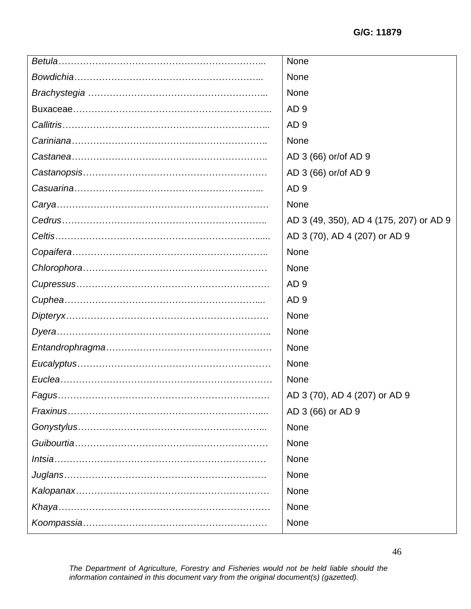| None                                    |
|-----------------------------------------|
| <b>None</b>                             |
| None                                    |
| AD <sub>9</sub>                         |
| AD <sub>9</sub>                         |
| <b>None</b>                             |
| AD 3 (66) or/of AD 9                    |
| AD 3 (66) or/of AD 9                    |
| AD <sub>9</sub>                         |
| None                                    |
| AD 3 (49, 350), AD 4 (175, 207) or AD 9 |
| AD 3 (70), AD 4 (207) or AD 9           |
| None                                    |
| None                                    |
| AD <sub>9</sub>                         |
| AD <sub>9</sub>                         |
| None                                    |
| None                                    |
| None                                    |
| None                                    |
| None                                    |
| AD 3 (70), AD 4 (207) or AD 9           |
| AD 3 (66) or AD 9                       |
| None                                    |
| None                                    |
| None                                    |
| <b>None</b>                             |
| None                                    |
| None                                    |
| None                                    |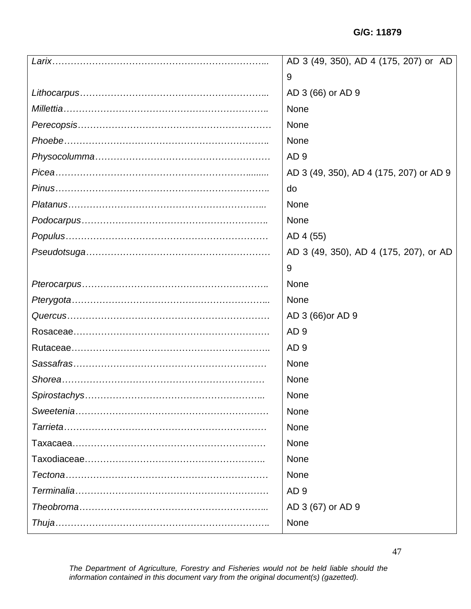| AD 3 (49, 350), AD 4 (175, 207) or AD   |
|-----------------------------------------|
| 9                                       |
| AD 3 (66) or AD 9                       |
| None                                    |
| None                                    |
| None                                    |
| AD <sub>9</sub>                         |
| AD 3 (49, 350), AD 4 (175, 207) or AD 9 |
| do                                      |
| None                                    |
| None                                    |
| AD 4 (55)                               |
| AD 3 (49, 350), AD 4 (175, 207), or AD  |
| 9                                       |
| None                                    |
| None                                    |
| AD 3 (66) or AD 9                       |
| AD <sub>9</sub>                         |
| AD <sub>9</sub>                         |
| None                                    |
| None                                    |
| <b>None</b>                             |
| None                                    |
| None                                    |
| None                                    |
| None                                    |
| None                                    |
| AD <sub>9</sub>                         |
| AD 3 (67) or AD 9                       |
| None                                    |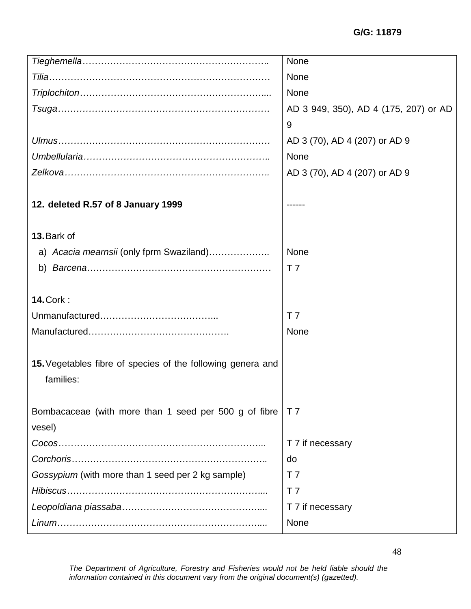|                                                             | <b>None</b>                           |
|-------------------------------------------------------------|---------------------------------------|
|                                                             | <b>None</b>                           |
|                                                             | None                                  |
|                                                             | AD 3 949, 350), AD 4 (175, 207) or AD |
|                                                             | 9                                     |
|                                                             | AD 3 (70), AD 4 (207) or AD 9         |
|                                                             | None                                  |
|                                                             | AD 3 (70), AD 4 (207) or AD 9         |
|                                                             |                                       |
| 12. deleted R.57 of 8 January 1999                          |                                       |
|                                                             |                                       |
| 13. Bark of                                                 |                                       |
| a) Acacia mearnsii (only fprm Swaziland)                    | <b>None</b>                           |
|                                                             | T <sub>7</sub>                        |
|                                                             |                                       |
| <b>14. Cork:</b>                                            |                                       |
|                                                             | T <sub>7</sub>                        |
|                                                             | <b>None</b>                           |
|                                                             |                                       |
| 15. Vegetables fibre of species of the following genera and |                                       |
| families:                                                   |                                       |
|                                                             |                                       |
| Bombacaceae (with more than 1 seed per 500 g of fibre       | T <sub>7</sub>                        |
| vesel)                                                      |                                       |
|                                                             | T 7 if necessary                      |
| Corchoris.                                                  | do                                    |
| Gossypium (with more than 1 seed per 2 kg sample)           | T <sub>7</sub>                        |
|                                                             | T <sub>7</sub>                        |
|                                                             | T 7 if necessary                      |
|                                                             | None                                  |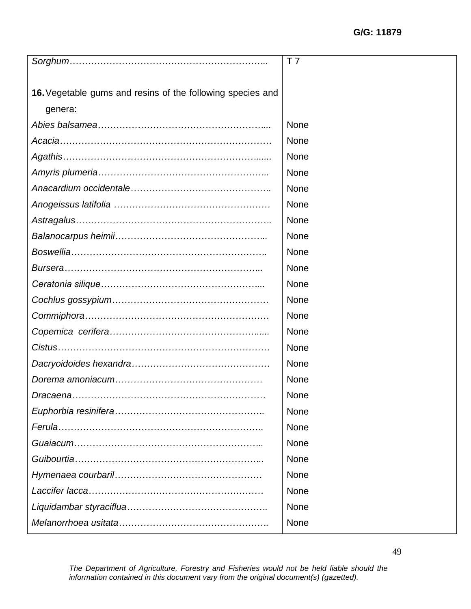|                                                            | T 7         |
|------------------------------------------------------------|-------------|
|                                                            |             |
| 16. Vegetable gums and resins of the following species and |             |
| genera:                                                    |             |
|                                                            | None        |
|                                                            | None        |
|                                                            | <b>None</b> |
|                                                            | None        |
|                                                            | None        |
|                                                            | None        |
|                                                            | None        |
|                                                            | None        |
|                                                            | None        |
|                                                            | None        |
|                                                            | None        |
|                                                            | None        |
|                                                            | None        |
|                                                            | None        |
|                                                            | None        |
|                                                            | None        |
|                                                            | None        |
|                                                            | None        |
|                                                            | None        |
|                                                            | None        |
|                                                            | None        |
|                                                            | <b>None</b> |
|                                                            | None        |
|                                                            | None        |
|                                                            | None        |
|                                                            | None        |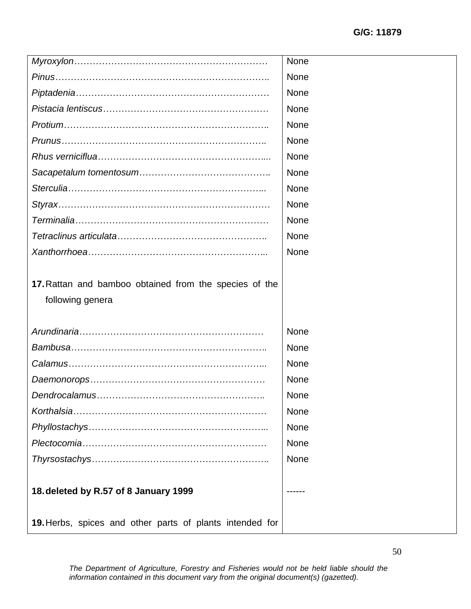|                                                                                                   | None |
|---------------------------------------------------------------------------------------------------|------|
|                                                                                                   | None |
|                                                                                                   | None |
|                                                                                                   | None |
|                                                                                                   | None |
|                                                                                                   | None |
|                                                                                                   | None |
|                                                                                                   | None |
|                                                                                                   | None |
|                                                                                                   | None |
|                                                                                                   | None |
|                                                                                                   | None |
|                                                                                                   | None |
| 17. Rattan and bamboo obtained from the species of the                                            |      |
| following genera                                                                                  |      |
|                                                                                                   | None |
|                                                                                                   | None |
|                                                                                                   | None |
|                                                                                                   | None |
|                                                                                                   | None |
|                                                                                                   | None |
|                                                                                                   | None |
|                                                                                                   | None |
|                                                                                                   | None |
| 18. deleted by R.57 of 8 January 1999<br>19. Herbs, spices and other parts of plants intended for |      |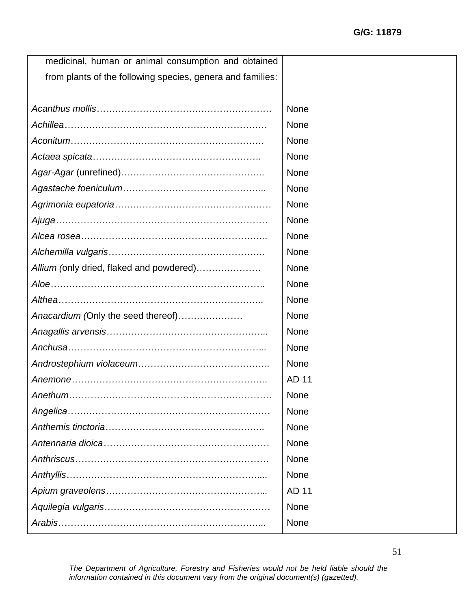| medicinal, human or animal consumption and obtained        |              |
|------------------------------------------------------------|--------------|
| from plants of the following species, genera and families: |              |
|                                                            |              |
|                                                            | <b>None</b>  |
|                                                            | None         |
|                                                            | None         |
|                                                            | <b>None</b>  |
|                                                            | None         |
|                                                            | None         |
|                                                            | None         |
|                                                            | None         |
|                                                            | None         |
|                                                            | None         |
| Allium (only dried, flaked and powdered)                   | <b>None</b>  |
|                                                            | None         |
|                                                            | None         |
| Anacardium (Only the seed thereof)                         | None         |
|                                                            |              |
|                                                            | None         |
|                                                            | None         |
|                                                            | None         |
|                                                            | AD 11        |
|                                                            | None         |
|                                                            | None         |
|                                                            | None         |
|                                                            | <b>None</b>  |
|                                                            | None         |
|                                                            | None         |
|                                                            | <b>AD 11</b> |
|                                                            | None         |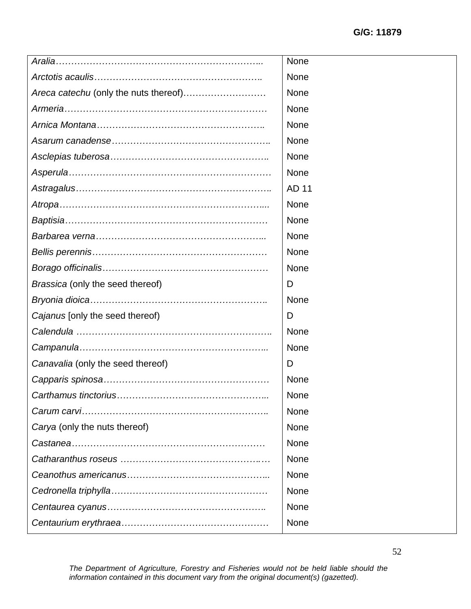|                                       | <b>None</b> |
|---------------------------------------|-------------|
|                                       | None        |
| Areca catechu (only the nuts thereof) | None        |
|                                       | <b>None</b> |
|                                       | <b>None</b> |
|                                       | None        |
|                                       | None        |
|                                       | None        |
|                                       | AD 11       |
|                                       | None        |
|                                       | <b>None</b> |
|                                       | <b>None</b> |
|                                       | None        |
|                                       | <b>None</b> |
| Brassica (only the seed thereof)      | D           |
|                                       |             |
|                                       | None        |
| Cajanus [only the seed thereof)       | D           |
|                                       | None        |
|                                       | <b>None</b> |
| Canavalia (only the seed thereof)     | D           |
|                                       | None        |
|                                       | None        |
|                                       | None        |
| Carya (only the nuts thereof)         | <b>None</b> |
|                                       | None        |
|                                       | None        |
|                                       | None        |
|                                       | None        |
|                                       | <b>None</b> |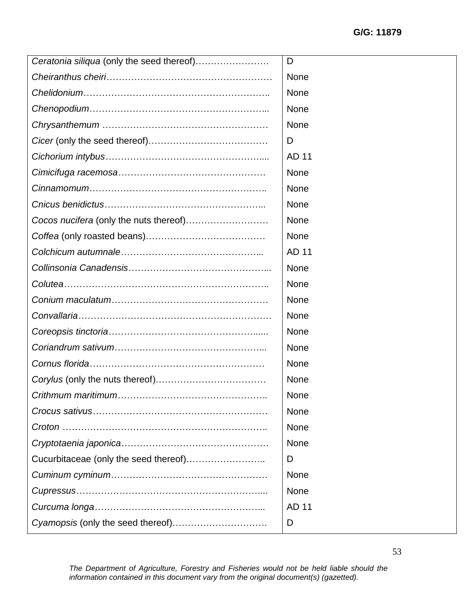| Ceratonia siliqua (only the seed thereof) | D            |
|-------------------------------------------|--------------|
|                                           | <b>None</b>  |
|                                           | <b>None</b>  |
|                                           | None         |
|                                           | None         |
|                                           | D            |
|                                           | <b>AD 11</b> |
|                                           | <b>None</b>  |
|                                           | <b>None</b>  |
|                                           | None         |
|                                           | <b>None</b>  |
|                                           | <b>None</b>  |
|                                           | AD 11        |
|                                           | <b>None</b>  |
|                                           | None         |
|                                           | None         |
|                                           | <b>None</b>  |
|                                           | None         |
|                                           | <b>None</b>  |
|                                           | <b>None</b>  |
|                                           | <b>None</b>  |
|                                           | <b>None</b>  |
|                                           | <b>None</b>  |
|                                           | <b>None</b>  |
|                                           | None         |
| Cucurbitaceae (only the seed thereof)     | D            |
|                                           | <b>None</b>  |
|                                           | <b>None</b>  |
|                                           | <b>AD 11</b> |
|                                           | D            |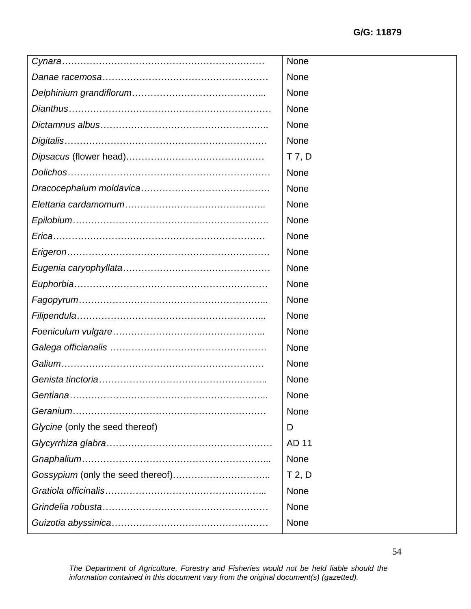|                                 | None        |
|---------------------------------|-------------|
|                                 | None        |
|                                 | None        |
|                                 | None        |
|                                 | None        |
|                                 | <b>None</b> |
|                                 | $T$ 7, $D$  |
|                                 | None        |
|                                 | None        |
|                                 | None        |
|                                 | None        |
|                                 | None        |
|                                 | None        |
|                                 | None        |
|                                 | None        |
|                                 | None        |
|                                 | None        |
|                                 | None        |
|                                 | None        |
|                                 | None        |
|                                 | None        |
|                                 | None        |
|                                 | None        |
| Glycine (only the seed thereof) | D           |
|                                 | AD 11       |
|                                 | None        |
|                                 | $T$ 2, D    |
|                                 | None        |
|                                 | None        |
|                                 | None        |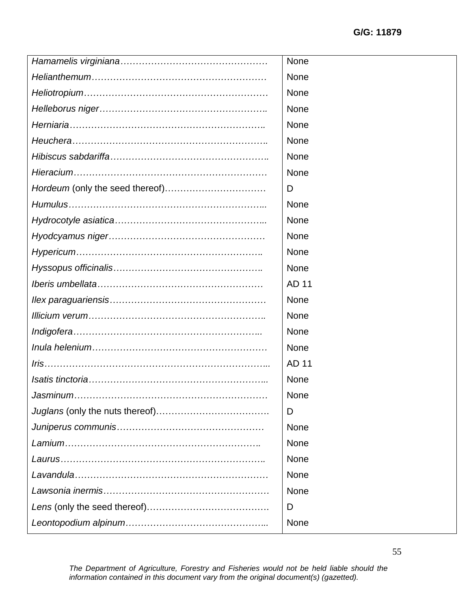| None         |
|--------------|
| None         |
| None         |
| None         |
| None         |
| None         |
| None         |
| None         |
| D            |
| <b>None</b>  |
| None         |
| None         |
| None         |
| None         |
| <b>AD 11</b> |
| None         |
| None         |
| None         |
| None         |
| <b>AD 11</b> |
| None         |
| None         |
| D            |
| None         |
| None         |
| None         |
| None         |
| None         |
| D            |
| None         |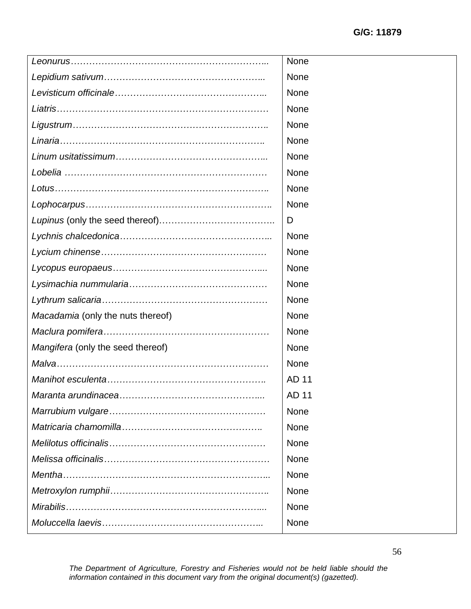|                                   | None        |
|-----------------------------------|-------------|
|                                   | None        |
|                                   | <b>None</b> |
|                                   | None        |
|                                   | <b>None</b> |
|                                   | <b>None</b> |
|                                   | None        |
|                                   | None        |
|                                   | None        |
|                                   | None        |
|                                   | D           |
|                                   | None        |
|                                   | None        |
|                                   | <b>None</b> |
|                                   | <b>None</b> |
|                                   | <b>None</b> |
| Macadamia (only the nuts thereof) | None        |
|                                   | None        |
| Mangifera (only the seed thereof) | None        |
|                                   | None        |
|                                   | AD 11       |
|                                   | AD 11       |
|                                   | None        |
|                                   | <b>None</b> |
|                                   | None        |
|                                   | None        |
|                                   | None        |
|                                   | None        |
|                                   | None        |
|                                   | <b>None</b> |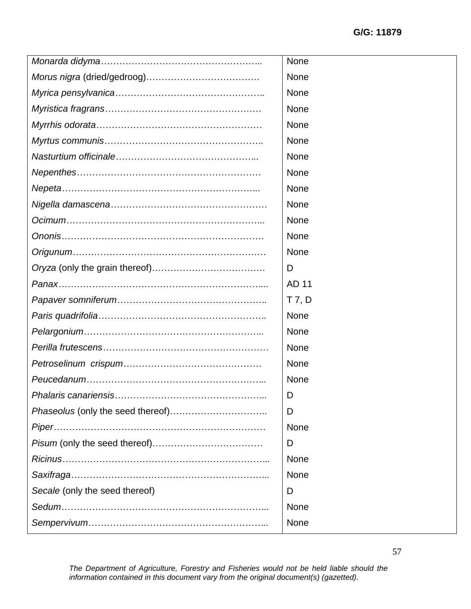|                                | None     |
|--------------------------------|----------|
|                                | None     |
|                                | None     |
|                                | None     |
|                                | None     |
|                                | None     |
|                                | None     |
|                                | None     |
|                                | None     |
|                                | None     |
|                                | None     |
|                                | None     |
|                                | None     |
|                                | D        |
|                                | AD 11    |
|                                | $T$ 7, D |
|                                | None     |
|                                | None     |
|                                | None     |
|                                | None     |
|                                | None     |
|                                | D        |
|                                | D        |
|                                | None     |
|                                | D        |
|                                | None     |
|                                | None     |
| Secale (only the seed thereof) | D        |
|                                | None     |
|                                | None     |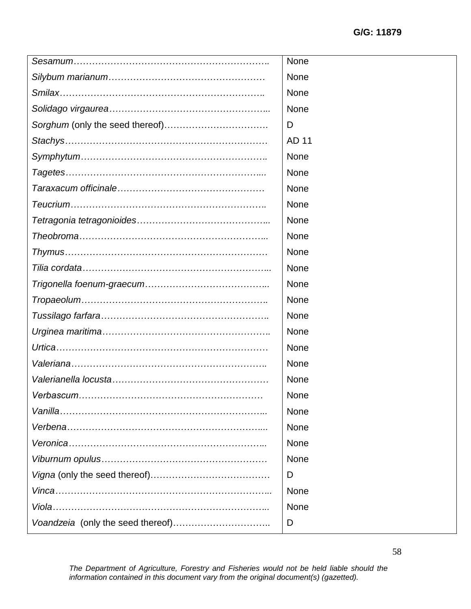| None        |
|-------------|
| None        |
| None        |
| None        |
| D           |
| AD 11       |
| None        |
| None        |
| None        |
| None        |
| None        |
| None        |
| None        |
| None        |
| None        |
| None        |
| None        |
| None        |
| None        |
| None        |
| <b>None</b> |
| <b>None</b> |
| None        |
| None        |
| None        |
| None        |
| D           |
| None        |
| None        |
| D           |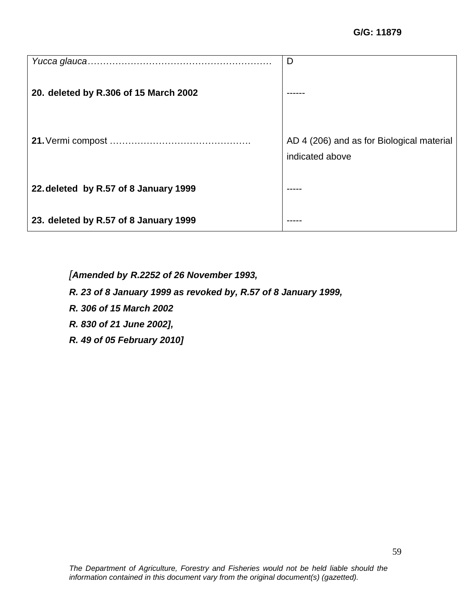|                                       | D                                                            |
|---------------------------------------|--------------------------------------------------------------|
| 20. deleted by R.306 of 15 March 2002 |                                                              |
|                                       | AD 4 (206) and as for Biological material<br>indicated above |
| 22. deleted by R.57 of 8 January 1999 |                                                              |
| 23. deleted by R.57 of 8 January 1999 |                                                              |

*[Amended by R.2252 of 26 November 1993,* 

*R. 23 of 8 January 1999 as revoked by, R.57 of 8 January 1999,* 

*R. 306 of 15 March 2002* 

*R. 830 of 21 June 2002],*

*R. 49 of 05 February 2010]*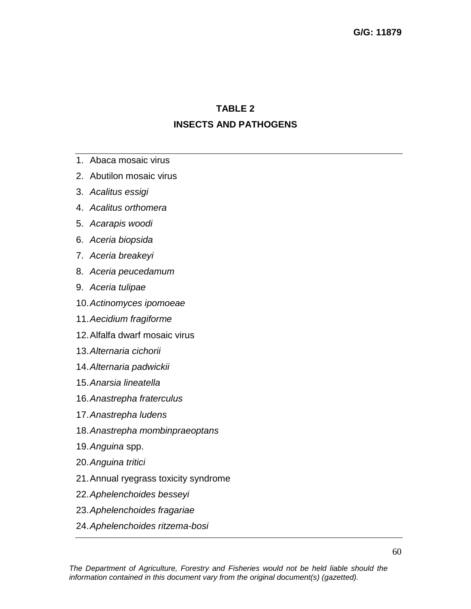## **TABLE 2**

## **INSECTS AND PATHOGENS**

- 1. Abaca mosaic virus
- 2. Abutilon mosaic virus
- 3. *Acalitus essigi*
- 4. *Acalitus orthomera*
- 5. *Acarapis woodi*
- 6. *Aceria biopsida*
- 7. *Aceria breakeyi*
- 8. *Aceria peucedamum*
- 9. *Aceria tulipae*
- 10.*Actinomyces ipomoeae*
- 11.*Aecidium fragiforme*
- 12.Alfalfa dwarf mosaic virus
- 13.*Alternaria cichorii*
- 14.*Alternaria padwickii*
- 15.*Anarsia lineatella*
- 16.*Anastrepha fraterculus*
- 17.*Anastrepha ludens*
- 18.*Anastrepha mombinpraeoptans*
- 19.*Anguina* spp.
- 20.*Anguina tritici*
- 21.Annual ryegrass toxicity syndrome
- 22.*Aphelenchoides besseyi*
- 23.*Aphelenchoides fragariae*
- 24.*Aphelenchoides ritzema-bosi*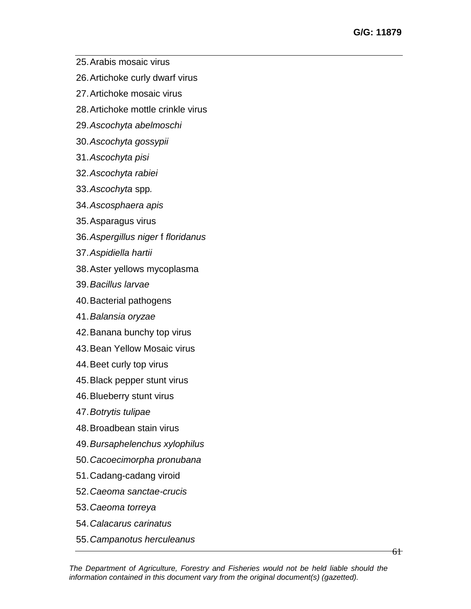- 25.Arabis mosaic virus
- 26.Artichoke curly dwarf virus
- 27.Artichoke mosaic virus
- 28.Artichoke mottle crinkle virus
- 29.*Ascochyta abelmoschi*
- 30.*Ascochyta gossypii*
- 31.*Ascochyta pisi*
- 32.*Ascochyta rabiei*
- 33.*Ascochyta* spp*.*
- 34.*Ascosphaera apis*
- 35.Asparagus virus
- 36.*Aspergillus niger* f *floridanus*
- 37.*Aspidiella hartii*
- 38.Aster yellows mycoplasma
- 39.*Bacillus larvae*
- 40.Bacterial pathogens
- 41.*Balansia oryzae*
- 42.Banana bunchy top virus
- 43.Bean Yellow Mosaic virus
- 44.Beet curly top virus
- 45.Black pepper stunt virus
- 46.Blueberry stunt virus
- 47.*Botrytis tulipae*
- 48.Broadbean stain virus
- 49.*Bursaphelenchus xylophilus*
- 50.*Cacoecimorpha pronubana*
- 51.Cadang-cadang viroid
- 52.*Caeoma sanctae-crucis*
- 53.*Caeoma torreya*
- 54.*Calacarus carinatus*
- 55.*Campanotus herculeanus*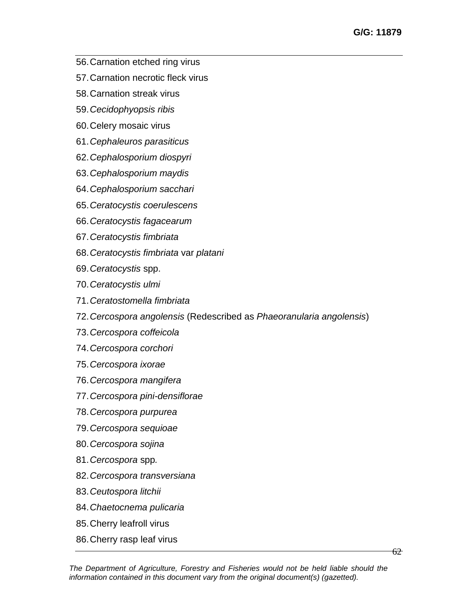- 56.Carnation etched ring virus
- 57.Carnation necrotic fleck virus
- 58.Carnation streak virus
- 59.*Cecidophyopsis ribis*
- 60.Celery mosaic virus
- 61.*Cephaleuros parasiticus*
- 62.*Cephalosporium diospyri*
- 63.*Cephalosporium maydis*
- 64.*Cephalosporium sacchari*
- 65.*Ceratocystis coerulescens*
- 66.*Ceratocystis fagacearum*
- 67.*Ceratocystis fimbriata*
- 68.*Ceratocystis fimbriata* var *platani*
- 69.*Ceratocystis* spp.
- 70.*Ceratocystis ulmi*
- 71.*Ceratostomella fimbriata*
- 72.*Cercospora angolensis* (Redescribed as *Phaeoranularia angolensis*)
- 73.*Cercospora coffeicola*
- 74.*Cercospora corchori*
- 75.*Cercospora ixorae*
- 76.*Cercospora mangifera*
- 77.*Cercospora pini-densiflorae*
- 78.*Cercospora purpurea*
- 79.*Cercospora sequioae*
- 80.*Cercospora sojina*
- 81.*Cercospora* spp*.*
- 82.*Cercospora transversiana*
- 83.*Ceutospora litchii*
- 84.*Chaetocnema pulicaria*
- 85.Cherry leafroll virus
- 86.Cherry rasp leaf virus

 $62-$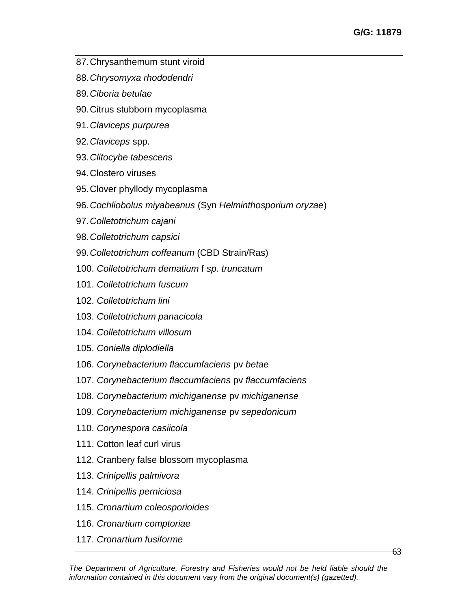- 87.Chrysanthemum stunt viroid
- 88.*Chrysomyxa rhododendri*
- 89.*Ciboria betulae*
- 90.Citrus stubborn mycoplasma
- 91.*Claviceps purpurea*
- 92.*Claviceps* spp.
- 93.*Clitocybe tabescens*
- 94.Clostero viruses
- 95.Clover phyllody mycoplasma
- 96.*Cochliobolus miyabeanus* (Syn *Helminthosporium oryzae*)
- 97.*Colletotrichum cajani*
- 98.*Colletotrichum capsici*
- 99.*Colletotrichum coffeanum* (CBD Strain/Ras)
- 100. *Colletotrichum dematium* f *sp. truncatum*
- 101. *Colletotrichum fuscum*
- 102. *Colletotrichum lini*
- 103. *Colletotrichum panacicola*
- 104. *Colletotrichum villosum*
- 105. *Coniella diplodiella*
- 106. *Corynebacterium flaccumfaciens* pv *betae*
- 107. *Corynebacterium flaccumfaciens* pv *flaccumfaciens*
- 108. *Corynebacterium michiganense* pv *michiganense*
- 109. *Corynebacterium michiganense* pv *sepedonicum*
- 110. *Corynespora casiicola*
- 111. Cotton leaf curl virus
- 112. Cranbery false blossom mycoplasma
- 113. *Crinipellis palmivora*
- 114. *Crinipellis perniciosa*
- 115. *Cronartium coleosporioides*
- 116. *Cronartium comptoriae*
- 117. *Cronartium fusiforme*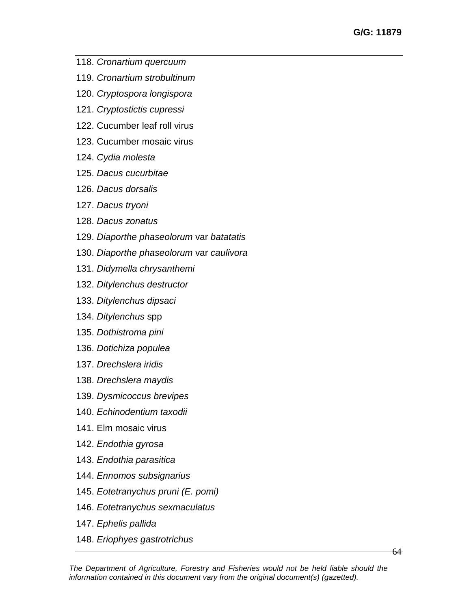- 118. *Cronartium quercuum*
- 119. *Cronartium strobultinum*
- 120. *Cryptospora longispora*
- 121. *Cryptostictis cupressi*
- 122. Cucumber leaf roll virus
- 123. Cucumber mosaic virus
- 124. *Cydia molesta*
- 125. *Dacus cucurbitae*
- 126. *Dacus dorsalis*
- 127. *Dacus tryoni*
- 128. *Dacus zonatus*
- 129. *Diaporthe phaseolorum* var *batatatis*
- 130. *Diaporthe phaseolorum* var *caulivora*
- 131. *Didymella chrysanthemi*
- 132. *Ditylenchus destructor*
- 133. *Ditylenchus dipsaci*
- 134. *Ditylenchus* spp
- 135. *Dothistroma pini*
- 136. *Dotichiza populea*
- 137. *Drechslera iridis*
- 138. *Drechslera maydis*
- 139. *Dysmicoccus brevipes*
- 140. *Echinodentium taxodii*
- 141. Elm mosaic virus
- 142. *Endothia gyrosa*
- 143. *Endothia parasitica*
- 144. *Ennomos subsignarius*
- 145. *Eotetranychus pruni (E. pomi)*
- 146. *Eotetranychus sexmaculatus*
- 147. *Ephelis pallida*
- 148. *Eriophyes gastrotrichus*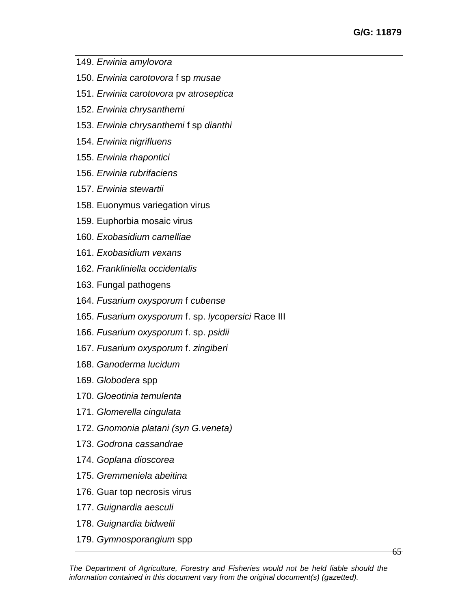- 149. *Erwinia amylovora*
- 150. *Erwinia carotovora* f sp *musae*
- 151. *Erwinia carotovora* pv *atroseptica*
- 152. *Erwinia chrysanthemi*
- 153. *Erwinia chrysanthemi* f sp *dianthi*
- 154. *Erwinia nigrifluens*
- 155. *Erwinia rhapontici*
- 156. *Erwinia rubrifaciens*
- 157. *Erwinia stewartii*
- 158. Euonymus variegation virus
- 159. Euphorbia mosaic virus
- 160. *Exobasidium camelliae*
- 161. *Exobasidium vexans*
- 162. *Frankliniella occidentalis*
- 163. Fungal pathogens
- 164. *Fusarium oxysporum* f *cubense*
- 165. *Fusarium oxysporum* f. sp. *lycopersici* Race III
- 166. *Fusarium oxysporum* f. sp. *psidii*
- 167. *Fusarium oxysporum* f. *zingiberi*
- 168. *Ganoderma lucidum*
- 169. *Globodera* spp
- 170. *Gloeotinia temulenta*
- 171. *Glomerella cingulata*
- 172. *Gnomonia platani (syn G.veneta)*
- 173. *Godrona cassandrae*
- 174. *Goplana dioscorea*
- 175. *Gremmeniela abeitina*
- 176. Guar top necrosis virus
- 177. *Guignardia aesculi*
- 178. *Guignardia bidwelii*
- 179. *Gymnosporangium* spp

 $65^{\circ}$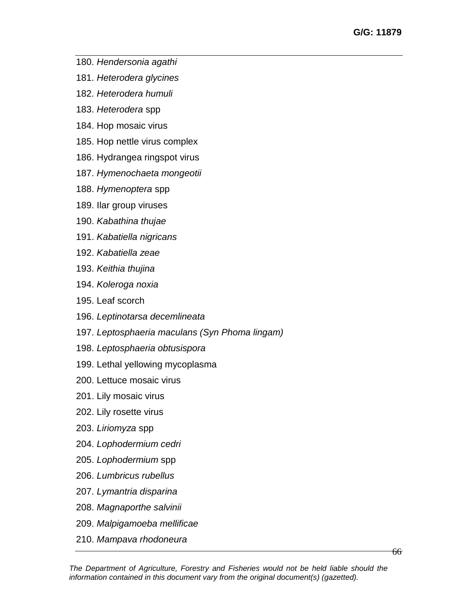- 180. *Hendersonia agathi*
- 181. *Heterodera glycines*
- 182. *Heterodera humuli*
- 183. *Heterodera* spp
- 184. Hop mosaic virus
- 185. Hop nettle virus complex
- 186. Hydrangea ringspot virus
- 187. *Hymenochaeta mongeotii*
- 188. *Hymenoptera* spp
- 189. Ilar group viruses
- 190. *Kabathina thujae*
- 191. *Kabatiella nigricans*
- 192. *Kabatiella zeae*
- 193. *Keithia thujina*
- 194. *Koleroga noxia*
- 195. Leaf scorch
- 196. *Leptinotarsa decemlineata*
- 197. *Leptosphaeria maculans (Syn Phoma lingam)*
- 198. *Leptosphaeria obtusispora*
- 199. Lethal yellowing mycoplasma
- 200. Lettuce mosaic virus
- 201. Lily mosaic virus
- 202. Lily rosette virus
- 203. *Liriomyza* spp
- 204. *Lophodermium cedri*
- 205. *Lophodermium* spp
- 206. *Lumbricus rubellus*
- 207. *Lymantria disparina*
- 208. *Magnaporthe salvinii*
- 209. *Malpigamoeba mellificae*
- 210. *Mampava rhodoneura*

66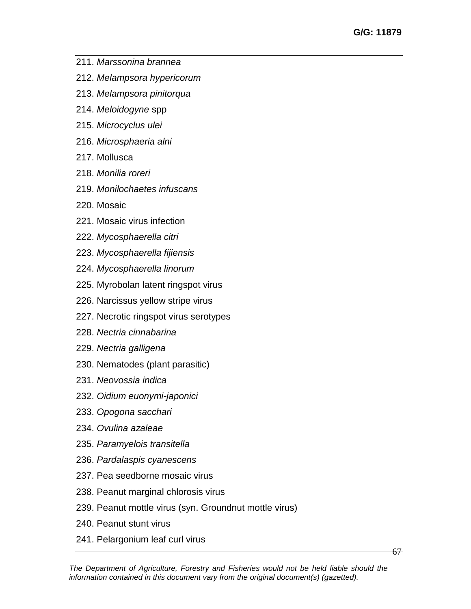- 211. *Marssonina brannea*
- 212. *Melampsora hypericorum*
- 213. *Melampsora pinitorqua*
- 214. *Meloidogyne* spp
- 215. *Microcyclus ulei*
- 216. *Microsphaeria alni*
- 217. Mollusca
- 218. *Monilia roreri*
- 219. *Monilochaetes infuscans*
- 220. Mosaic
- 221. Mosaic virus infection
- 222. *Mycosphaerella citri*
- 223. *Mycosphaerella fijiensis*
- 224. *Mycosphaerella linorum*
- 225. Myrobolan latent ringspot virus
- 226. Narcissus yellow stripe virus
- 227. Necrotic ringspot virus serotypes
- 228. *Nectria cinnabarina*
- 229. *Nectria galligena*
- 230. Nematodes (plant parasitic)
- 231. *Neovossia indica*
- 232. *Oidium euonymi-japonici*
- 233. *Opogona sacchari*
- 234. *Ovulina azaleae*
- 235. *Paramyelois transitella*
- 236. *Pardalaspis cyanescens*
- 237. Pea seedborne mosaic virus
- 238. Peanut marginal chlorosis virus
- 239. Peanut mottle virus (syn. Groundnut mottle virus)
- 240. Peanut stunt virus
- 241. Pelargonium leaf curl virus

67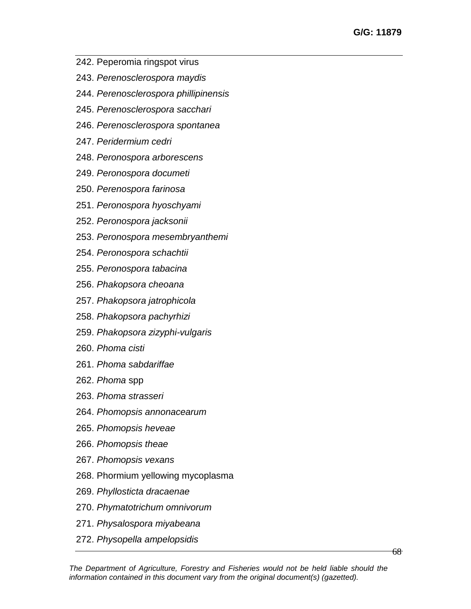- 242. Peperomia ringspot virus
- 243. *Perenosclerospora maydis*
- 244. *Perenosclerospora phillipinensis*
- 245. *Perenosclerospora sacchari*
- 246. *Perenosclerospora spontanea*
- 247. *Peridermium cedri*
- 248. *Peronospora arborescens*
- 249. *Peronospora documeti*
- 250. *Perenospora farinosa*
- 251. *Peronospora hyoschyami*
- 252. *Peronospora jacksonii*
- 253. *Peronospora mesembryanthemi*
- 254. *Peronospora schachtii*
- 255. *Peronospora tabacina*
- 256. *Phakopsora cheoana*
- 257. *Phakopsora jatrophicola*
- 258. *Phakopsora pachyrhizi*
- 259. *Phakopsora zizyphi-vulgaris*
- 260. *Phoma cisti*
- 261. *Phoma sabdariffae*
- 262. *Phoma* spp
- 263. *Phoma strasseri*
- 264. *Phomopsis annonacearum*
- 265. *Phomopsis heveae*
- 266. *Phomopsis theae*
- 267. *Phomopsis vexans*
- 268. Phormium yellowing mycoplasma
- 269. *Phyllosticta dracaenae*
- 270. *Phymatotrichum omnivorum*
- 271. *Physalospora miyabeana*
- 272. *Physopella ampelopsidis*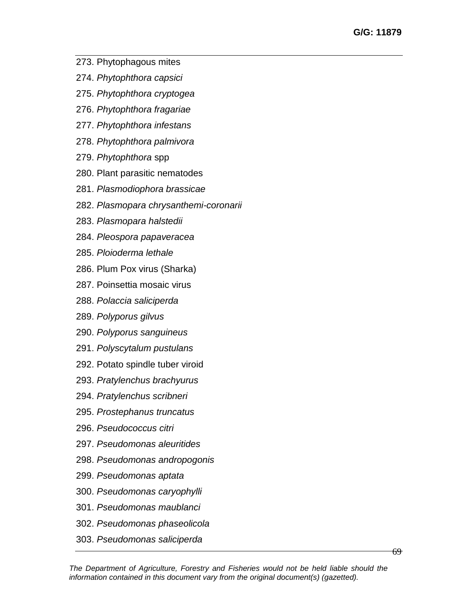- 273. Phytophagous mites
- 274. *Phytophthora capsici*
- 275. *Phytophthora cryptogea*
- 276. *Phytophthora fragariae*
- 277. *Phytophthora infestans*
- 278. *Phytophthora palmivora*
- 279. *Phytophthora* spp
- 280. Plant parasitic nematodes
- 281. *Plasmodiophora brassicae*
- 282. *Plasmopara chrysanthemi-coronarii*
- 283. *Plasmopara halstedii*
- 284. *Pleospora papaveracea*
- 285. *Ploioderma lethale*
- 286. Plum Pox virus (Sharka)
- 287. Poinsettia mosaic virus
- 288. *Polaccia saliciperda*
- 289. *Polyporus gilvus*
- 290. *Polyporus sanguineus*
- 291. *Polyscytalum pustulans*
- 292. Potato spindle tuber viroid
- 293. *Pratylenchus brachyurus*
- 294. *Pratylenchus scribneri*
- 295. *Prostephanus truncatus*
- 296. *Pseudococcus citri*
- 297. *Pseudomonas aleuritides*
- 298. *Pseudomonas andropogonis*
- 299. *Pseudomonas aptata*
- 300. *Pseudomonas caryophylli*
- 301. *Pseudomonas maublanci*
- 302. *Pseudomonas phaseolicola*
- 303. *Pseudomonas saliciperda*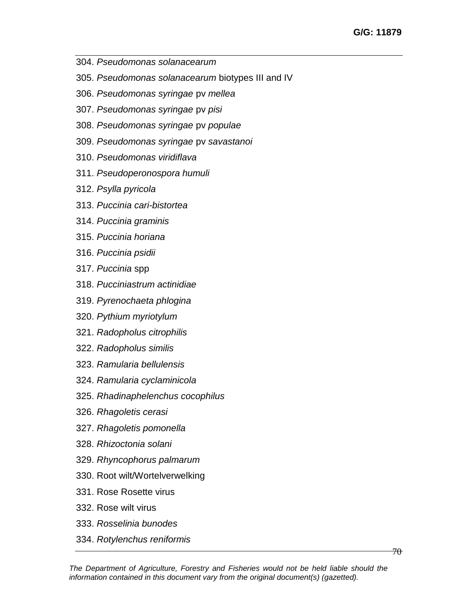- 304. *Pseudomonas solanacearum*
- 305. *Pseudomonas solanacearum* biotypes III and IV
- 306. *Pseudomonas syringae* pv *mellea*
- 307. *Pseudomonas syringae* pv *pisi*
- 308. *Pseudomonas syringae* pv *populae*
- 309. *Pseudomonas syringae* pv *savastanoi*
- 310. *Pseudomonas viridiflava*
- 311. *Pseudoperonospora humuli*
- 312. *Psylla pyricola*
- 313. *Puccinia cari-bistortea*
- 314. *Puccinia graminis*
- 315. *Puccinia horiana*
- 316. *Puccinia psidii*
- 317. *Puccinia* spp
- 318. *Pucciniastrum actinidiae*
- 319. *Pyrenochaeta phlogina*
- 320. *Pythium myriotylum*
- 321. *Radopholus citrophilis*
- 322. *Radopholus similis*
- 323. *Ramularia bellulensis*
- 324. *Ramularia cyclaminicola*
- 325. *Rhadinaphelenchus cocophilus*
- 326. *Rhagoletis cerasi*
- 327. *Rhagoletis pomonella*
- 328. *Rhizoctonia solani*
- 329. *Rhyncophorus palmarum*
- 330. Root wilt/Wortelverwelking
- 331. Rose Rosette virus
- 332. Rose wilt virus
- 333. *Rosselinia bunodes*
- 334. *Rotylenchus reniformis*

70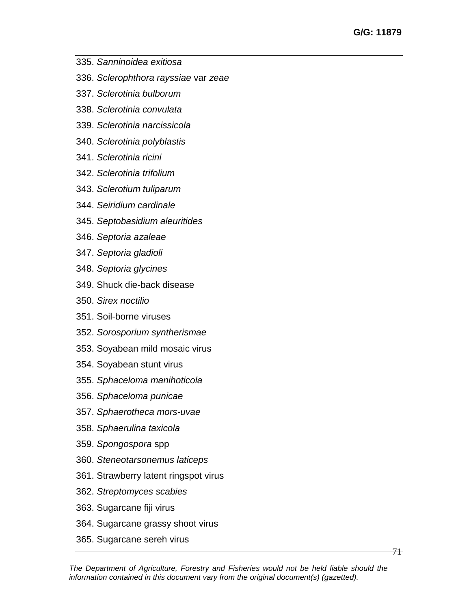- 335. *Sanninoidea exitiosa*
- 336. *Sclerophthora rayssiae* var *zeae*
- 337. *Sclerotinia bulborum*
- 338. *Sclerotinia convulata*
- 339. *Sclerotinia narcissicola*
- 340. *Sclerotinia polyblastis*
- 341. *Sclerotinia ricini*
- 342. *Sclerotinia trifolium*
- 343. *Sclerotium tuliparum*
- 344. *Seiridium cardinale*
- 345. *Septobasidium aleuritides*
- 346. *Septoria azaleae*
- 347. *Septoria gladioli*
- 348. *Septoria glycines*
- 349. Shuck die-back disease
- 350. *Sirex noctilio*
- 351. Soil-borne viruses
- 352. *Sorosporium syntherismae*
- 353. Soyabean mild mosaic virus
- 354. Soyabean stunt virus
- 355. *Sphaceloma manihoticola*
- 356. *Sphaceloma punicae*
- 357. *Sphaerotheca mors-uvae*
- 358. *Sphaerulina taxicola*
- 359. *Spongospora* spp
- 360. *Steneotarsonemus laticeps*
- 361. Strawberry latent ringspot virus
- 362. *Streptomyces scabies*
- 363. Sugarcane fiji virus
- 364. Sugarcane grassy shoot virus
- 365. Sugarcane sereh virus

71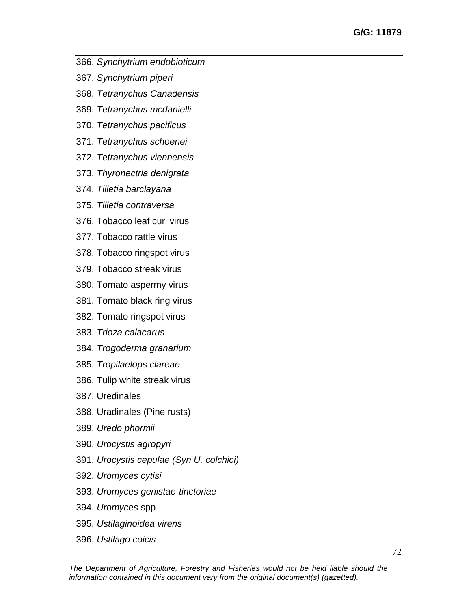- 366. *Synchytrium endobioticum*
- 367. *Synchytrium piperi*
- 368. *Tetranychus Canadensis*
- 369. *Tetranychus mcdanielli*
- 370. *Tetranychus pacificus*
- 371. *Tetranychus schoenei*
- 372. *Tetranychus viennensis*
- 373. *Thyronectria denigrata*
- 374. *Tilletia barclayana*
- 375. *Tilletia contraversa*
- 376. Tobacco leaf curl virus
- 377. Tobacco rattle virus
- 378. Tobacco ringspot virus
- 379. Tobacco streak virus
- 380. Tomato aspermy virus
- 381. Tomato black ring virus
- 382. Tomato ringspot virus
- 383. *Trioza calacarus*
- 384. *Trogoderma granarium*
- 385. *Tropilaelops clareae*
- 386. Tulip white streak virus
- 387. Uredinales
- 388. Uradinales (Pine rusts)
- 389. *Uredo phormii*
- 390. *Urocystis agropyri*
- 391. *Urocystis cepulae (Syn U. colchici)*
- 392. *Uromyces cytisi*
- 393. *Uromyces genistae-tinctoriae*
- 394. *Uromyces* spp
- 395. *Ustilaginoidea virens*
- 396. *Ustilago coicis*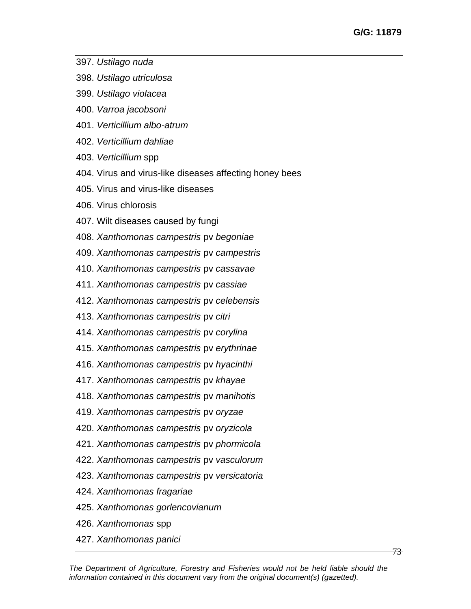- 397. *Ustilago nuda*
- 398. *Ustilago utriculosa*
- 399. *Ustilago violacea*
- 400. *Varroa jacobsoni*
- 401. *Verticillium albo-atrum*
- 402. *Verticillium dahliae*
- 403. *Verticillium* spp
- 404. Virus and virus-like diseases affecting honey bees
- 405. Virus and virus-like diseases
- 406. Virus chlorosis
- 407. Wilt diseases caused by fungi
- 408. *Xanthomonas campestris* pv *begoniae*
- 409. *Xanthomonas campestris* pv *campestris*
- 410. *Xanthomonas campestris* pv *cassavae*
- 411. *Xanthomonas campestris* pv *cassiae*
- 412. *Xanthomonas campestris* pv *celebensis*
- 413. *Xanthomonas campestris* pv *citri*
- 414. *Xanthomonas campestris* pv *corylina*
- 415. *Xanthomonas campestris* pv *erythrinae*
- 416. *Xanthomonas campestris* pv *hyacinthi*
- 417. *Xanthomonas campestris* pv *khayae*
- 418. *Xanthomonas campestris* pv *manihotis*
- 419. *Xanthomonas campestris* pv *oryzae*
- 420. *Xanthomonas campestris* pv *oryzicola*
- 421. *Xanthomonas campestris* pv *phormicola*
- 422. *Xanthomonas campestris* pv *vasculorum*
- 423. *Xanthomonas campestris* pv *versicatoria*
- 424. *Xanthomonas fragariae*
- 425. *Xanthomonas gorlencovianum*
- 426. *Xanthomonas* spp
- 427. *Xanthomonas panici*